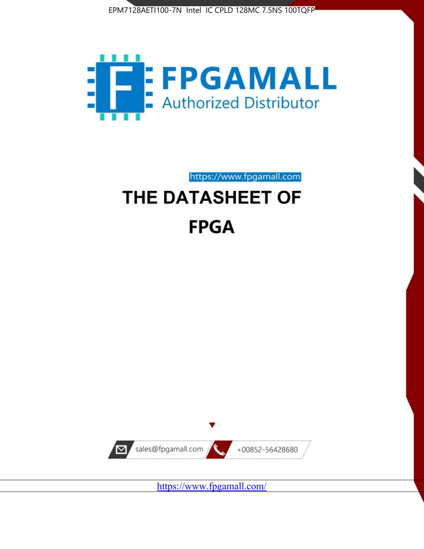



https://www.fpgamall.com THE DATASHEET OF

# **FPGA**



<https://www.fpgamall.com/>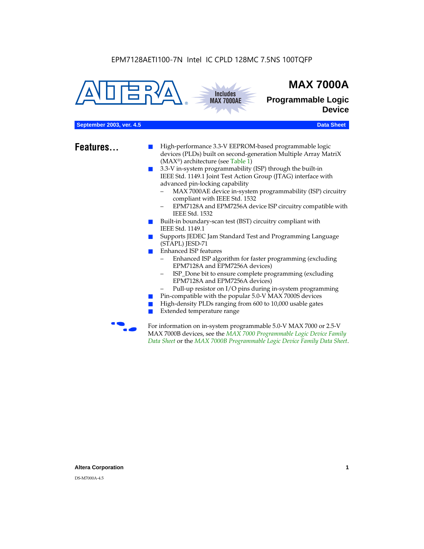



# **MAX 7000A**

**Programmable Logic Device**

### **September 2003, ver. 4.5** Data Sheet

- **Features...** High-performance 3.3-V EEPROM-based programmable logic devices (PLDs) built on second-generation Multiple Array MatriX (MAX®) architecture (see Table 1)
	- 3.3-V in-system programmability (ISP) through the built-in IEEE Std. 1149.1 Joint Test Action Group (JTAG) interface with advanced pin-locking capability
		- MAX 7000AE device in-system programmability (ISP) circuitry compliant with IEEE Std. 1532
		- EPM7128A and EPM7256A device ISP circuitry compatible with IEEE Std. 1532
	- Built-in boundary-scan test (BST) circuitry compliant with IEEE Std. 1149.1
	- Supports JEDEC Jam Standard Test and Programming Language (STAPL) JESD-71
	- Enhanced ISP features
		- Enhanced ISP algorithm for faster programming (excluding EPM7128A and EPM7256A devices)
		- ISP\_Done bit to ensure complete programming (excluding EPM7128A and EPM7256A devices)
		- Pull-up resistor on I/O pins during in-system programming
	- Pin-compatible with the popular 5.0-V MAX 7000S devices
	- High-density PLDs ranging from 600 to 10,000 usable gates
	- Extended temperature range

For information on in-system programmable 5.0-V MAX 7000 or 2.5-V MAX 7000B devices, see the *MAX 7000 Programmable Logic Device Family Data Sheet* or the *MAX 7000B Programmable Logic Device Family Data Sheet*.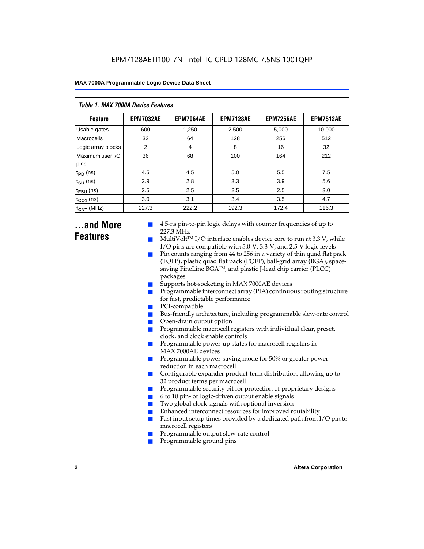| <b>Table 1. MAX 7000A Device Features</b> |                  |                  |                  |                  |                  |  |  |  |
|-------------------------------------------|------------------|------------------|------------------|------------------|------------------|--|--|--|
| <b>Feature</b>                            | <b>EPM7032AE</b> | <b>EPM7064AE</b> | <b>EPM7128AE</b> | <b>EPM7256AE</b> | <b>EPM7512AE</b> |  |  |  |
| Usable gates                              | 600              | 1,250            | 2,500            | 5,000            | 10,000           |  |  |  |
| Macrocells                                | 32               | 64               | 128              | 256              | 512              |  |  |  |
| Logic array blocks                        | 2                | 4                | 8                | 16               | 32               |  |  |  |
| Maximum user I/O<br>pins                  | 36               | 68               | 100              | 164              | 212              |  |  |  |
| $t_{PD}$ (ns)                             | 4.5              | 4.5              | 5.0              | 5.5              | 7.5              |  |  |  |
| $t_{\text{SU}}$ (ns)                      | 2.9              | 2.8              | 3.3              | 3.9              | 5.6              |  |  |  |
| $t_{\text{FSU}}$ (ns)                     | 2.5              | 2.5              | 2.5              | 2.5              | 3.0              |  |  |  |
| $t_{CO1}$ (ns)                            | 3.0              | 3.1              | 3.4              | 3.5              | 4.7              |  |  |  |
| $f_{CNT}$ (MHz)                           | 227.3            | 222.2            | 192.3            | 172.4            | 116.3            |  |  |  |

# **...and More Features**

- 4.5-ns pin-to-pin logic delays with counter frequencies of up to 227.3 MHz
- $Multivolt<sup>TM</sup> I/O interface enables device core to run at 3.3 V, while$ I/O pins are compatible with 5.0-V, 3.3-V, and 2.5-V logic levels
- Pin counts ranging from 44 to 256 in a variety of thin quad flat pack (TQFP), plastic quad flat pack (PQFP), ball-grid array (BGA), spacesaving FineLine BGATM, and plastic J-lead chip carrier (PLCC) packages
- Supports hot-socketing in MAX 7000AE devices
- Programmable interconnect array (PIA) continuous routing structure for fast, predictable performance
- PCI-compatible
- Bus-friendly architecture, including programmable slew-rate control
- Open-drain output option
- Programmable macrocell registers with individual clear, preset, clock, and clock enable controls
- Programmable power-up states for macrocell registers in MAX 7000AE devices
- Programmable power-saving mode for 50% or greater power reduction in each macrocell
- Configurable expander product-term distribution, allowing up to 32 product terms per macrocell
- Programmable security bit for protection of proprietary designs
- 6 to 10 pin- or logic-driven output enable signals
- Two global clock signals with optional inversion
- Enhanced interconnect resources for improved routability
- **E** Fast input setup times provided by a dedicated path from  $I/O$  pin to macrocell registers
- Programmable output slew-rate control
- Programmable ground pins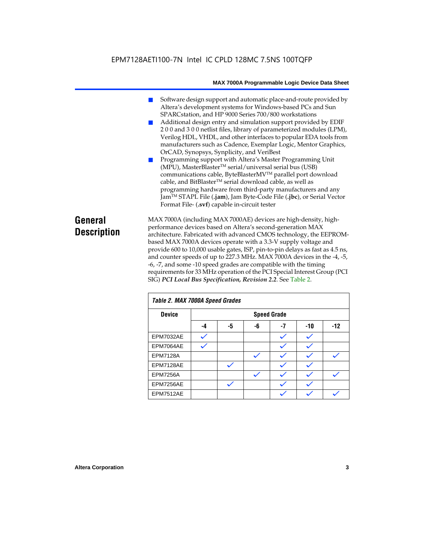# EPM7128AETI100-7N Intel IC CPLD 128MC 7.5NS 100TQFP

#### **MAX 7000A Programmable Logic Device Data Sheet**

- Software design support and automatic place-and-route provided by Altera's development systems for Windows-based PCs and Sun SPARCstation, and HP 9000 Series 700/800 workstations
- Additional design entry and simulation support provided by EDIF 2 0 0 and 3 0 0 netlist files, library of parameterized modules (LPM), Verilog HDL, VHDL, and other interfaces to popular EDA tools from manufacturers such as Cadence, Exemplar Logic, Mentor Graphics, OrCAD, Synopsys, Synplicity, and VeriBest
- Programming support with Altera's Master Programming Unit (MPU), MasterBlaster™ serial/universal serial bus (USB) communications cable, ByteBlasterMVTM parallel port download cable, and BitBlaster™ serial download cable, as well as programming hardware from third-party manufacturers and any JamTM STAPL File (**.jam**), Jam Byte-Code File (**.jbc**), or Serial Vector Format File- (**.svf**) capable in-circuit tester

# **General Description**

MAX 7000A (including MAX 7000AE) devices are high-density, highperformance devices based on Altera's second-generation MAX architecture. Fabricated with advanced CMOS technology, the EEPROMbased MAX 7000A devices operate with a 3.3-V supply voltage and provide 600 to 10,000 usable gates, ISP, pin-to-pin delays as fast as 4.5 ns, and counter speeds of up to 227.3 MHz. MAX 7000A devices in the -4, -5, -6, -7, and some -10 speed grades are compatible with the timing requirements for 33 MHz operation of the PCI Special Interest Group (PCI SIG) *PCI Local Bus Specification, Revision 2.2*. See Table 2.

| Table 2. MAX 7000A Speed Grades |    |    |    |                    |       |       |
|---------------------------------|----|----|----|--------------------|-------|-------|
| <b>Device</b>                   |    |    |    | <b>Speed Grade</b> |       |       |
|                                 | -4 | -5 | -6 | -7                 | $-10$ | $-12$ |
| EPM7032AE                       |    |    |    |                    |       |       |
| EPM7064AE                       |    |    |    |                    |       |       |
| <b>EPM7128A</b>                 |    |    |    |                    |       |       |
| EPM7128AE                       |    |    |    |                    |       |       |
| <b>EPM7256A</b>                 |    |    |    |                    |       |       |
| EPM7256AE                       |    | ✓  |    |                    |       |       |
| EPM7512AE                       |    |    |    |                    |       |       |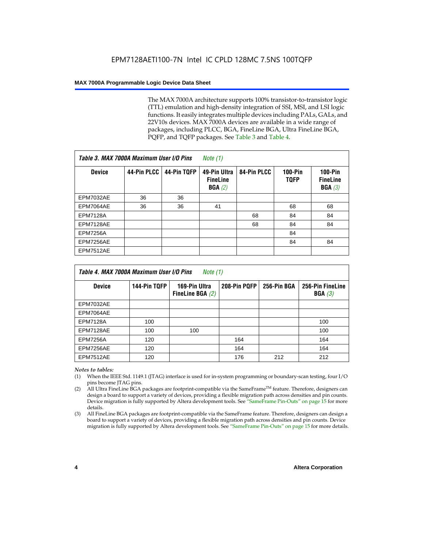The MAX 7000A architecture supports 100% transistor-to-transistor logic (TTL) emulation and high-density integration of SSI, MSI, and LSI logic functions. It easily integrates multiple devices including PALs, GALs, and 22V10s devices. MAX 7000A devices are available in a wide range of packages, including PLCC, BGA, FineLine BGA, Ultra FineLine BGA, PQFP, and TQFP packages. See Table 3 and Table 4.

| Table 3. MAX 7000A Maximum User I/O Pins |             |             | Note $(1)$                                |             |                               |                                        |
|------------------------------------------|-------------|-------------|-------------------------------------------|-------------|-------------------------------|----------------------------------------|
| <b>Device</b>                            | 44-Pin PLCC | 44-Pin TQFP | 49-Pin Ultra<br><b>FineLine</b><br>BGA(2) | 84-Pin PLCC | <b>100-Pin</b><br><b>TQFP</b> | $100-Pin$<br><b>FineLine</b><br>BGA(3) |
| <b>EPM7032AE</b>                         | 36          | 36          |                                           |             |                               |                                        |
| EPM7064AE                                | 36          | 36          | 41                                        |             | 68                            | 68                                     |
| <b>EPM7128A</b>                          |             |             |                                           | 68          | 84                            | 84                                     |
| EPM7128AE                                |             |             |                                           | 68          | 84                            | 84                                     |
| <b>EPM7256A</b>                          |             |             |                                           |             | 84                            |                                        |
| EPM7256AE                                |             |             |                                           |             | 84                            | 84                                     |
| <b>EPM7512AE</b>                         |             |             |                                           |             |                               |                                        |

| Table 4. MAX 7000A Maximum User I/O Pins<br>Note (1) |              |                                     |              |             |                            |  |  |
|------------------------------------------------------|--------------|-------------------------------------|--------------|-------------|----------------------------|--|--|
| <b>Device</b>                                        | 144-Pin TQFP | 169-Pin Ultra<br>FineLine BGA $(2)$ | 208-Pin PQFP | 256-Pin BGA | 256-Pin FineLine<br>BGA(3) |  |  |
| EPM7032AE                                            |              |                                     |              |             |                            |  |  |
| EPM7064AE                                            |              |                                     |              |             |                            |  |  |
| <b>EPM7128A</b>                                      | 100          |                                     |              |             | 100                        |  |  |
| EPM7128AE                                            | 100          | 100                                 |              |             | 100                        |  |  |
| <b>EPM7256A</b>                                      | 120          |                                     | 164          |             | 164                        |  |  |
| EPM7256AE                                            | 120          |                                     | 164          |             | 164                        |  |  |
| EPM7512AE                                            | 120          |                                     | 176          | 212         | 212                        |  |  |

#### *Notes to tables:*

- (1) When the IEEE Std. 1149.1 (JTAG) interface is used for in-system programming or boundary-scan testing, four I/O pins become JTAG pins.
- (2) All Ultra FineLine BGA packages are footprint-compatible via the SameFrame<sup>TM</sup> feature. Therefore, designers can design a board to support a variety of devices, providing a flexible migration path across densities and pin counts. Device migration is fully supported by Altera development tools. See "SameFrame Pin-Outs" on page 15 for more details.
- (3) All FineLine BGA packages are footprint-compatible via the SameFrame feature. Therefore, designers can design a board to support a variety of devices, providing a flexible migration path across densities and pin counts. Device migration is fully supported by Altera development tools. See "SameFrame Pin-Outs" on page 15 for more details.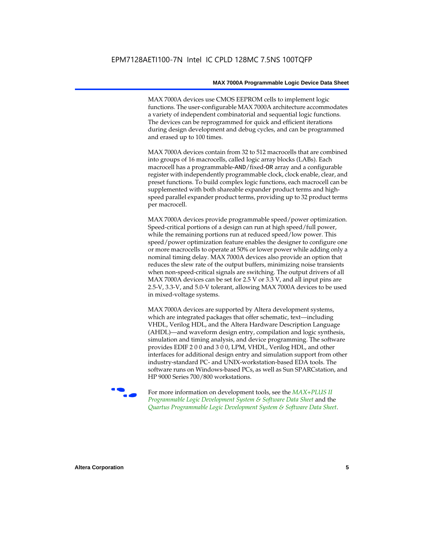MAX 7000A devices use CMOS EEPROM cells to implement logic functions. The user-configurable MAX 7000A architecture accommodates a variety of independent combinatorial and sequential logic functions. The devices can be reprogrammed for quick and efficient iterations during design development and debug cycles, and can be programmed and erased up to 100 times.

MAX 7000A devices contain from 32 to 512 macrocells that are combined into groups of 16 macrocells, called logic array blocks (LABs). Each macrocell has a programmable-AND/fixed-OR array and a configurable register with independently programmable clock, clock enable, clear, and preset functions. To build complex logic functions, each macrocell can be supplemented with both shareable expander product terms and highspeed parallel expander product terms, providing up to 32 product terms per macrocell.

MAX 7000A devices provide programmable speed/power optimization. Speed-critical portions of a design can run at high speed/full power, while the remaining portions run at reduced speed/low power. This speed/power optimization feature enables the designer to configure one or more macrocells to operate at 50% or lower power while adding only a nominal timing delay. MAX 7000A devices also provide an option that reduces the slew rate of the output buffers, minimizing noise transients when non-speed-critical signals are switching. The output drivers of all MAX 7000A devices can be set for 2.5 V or 3.3 V, and all input pins are 2.5-V, 3.3-V, and 5.0-V tolerant, allowing MAX 7000A devices to be used in mixed-voltage systems.

MAX 7000A devices are supported by Altera development systems, which are integrated packages that offer schematic, text—including VHDL, Verilog HDL, and the Altera Hardware Description Language (AHDL)—and waveform design entry, compilation and logic synthesis, simulation and timing analysis, and device programming. The software provides EDIF 2 0 0 and 3 0 0, LPM, VHDL, Verilog HDL, and other interfaces for additional design entry and simulation support from other industry-standard PC- and UNIX-workstation-based EDA tools. The software runs on Windows-based PCs, as well as Sun SPARCstation, and HP 9000 Series 700/800 workstations.

**For more information on development tools, see the** *MAX+PLUS II Programmable Logic Development System & Software Data Sheet* and the *Quartus Programmable Logic Development System & Software Data Sheet*.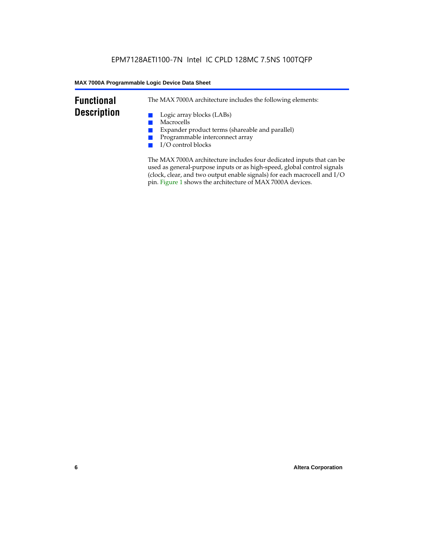# **Functional Description**

The MAX 7000A architecture includes the following elements:

- Logic array blocks (LABs)
- Macrocells
- Expander product terms (shareable and parallel)
- Programmable interconnect array
- I/O control blocks

The MAX 7000A architecture includes four dedicated inputs that can be used as general-purpose inputs or as high-speed, global control signals (clock, clear, and two output enable signals) for each macrocell and I/O pin. Figure 1 shows the architecture of MAX 7000A devices.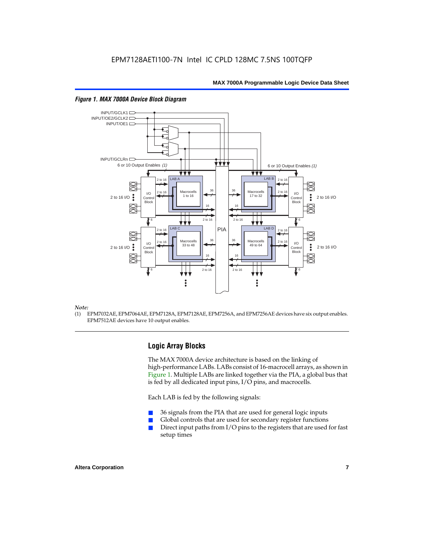

#### *Figure 1. MAX 7000A Device Block Diagram*

#### *Note:*

(1) EPM7032AE, EPM7064AE, EPM7128A, EPM7128AE, EPM7256A, and EPM7256AE devices have six output enables. EPM7512AE devices have 10 output enables.

# **Logic Array Blocks**

The MAX 7000A device architecture is based on the linking of high-performance LABs. LABs consist of 16-macrocell arrays, as shown in Figure 1. Multiple LABs are linked together via the PIA, a global bus that is fed by all dedicated input pins, I/O pins, and macrocells.

Each LAB is fed by the following signals:

- 36 signals from the PIA that are used for general logic inputs
- Global controls that are used for secondary register functions
- Direct input paths from  $I/O$  pins to the registers that are used for fast setup times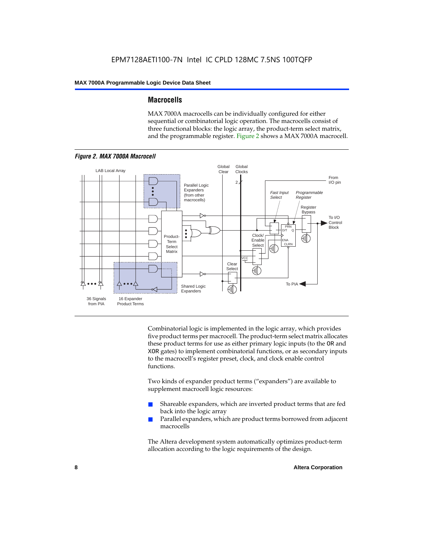### **Macrocells**

MAX 7000A macrocells can be individually configured for either sequential or combinatorial logic operation. The macrocells consist of three functional blocks: the logic array, the product-term select matrix, and the programmable register. Figure 2 shows a MAX 7000A macrocell.



Combinatorial logic is implemented in the logic array, which provides five product terms per macrocell. The product-term select matrix allocates these product terms for use as either primary logic inputs (to the OR and XOR gates) to implement combinatorial functions, or as secondary inputs to the macrocell's register preset, clock, and clock enable control functions.

Two kinds of expander product terms ("expanders") are available to supplement macrocell logic resources:

- Shareable expanders, which are inverted product terms that are fed back into the logic array
- Parallel expanders, which are product terms borrowed from adjacent macrocells

The Altera development system automatically optimizes product-term allocation according to the logic requirements of the design.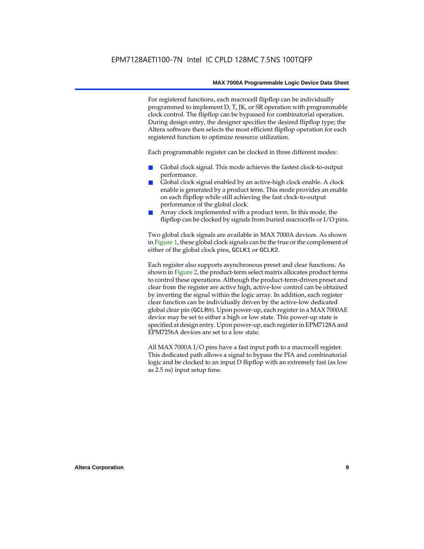For registered functions, each macrocell flipflop can be individually programmed to implement D, T, JK, or SR operation with programmable clock control. The flipflop can be bypassed for combinatorial operation. During design entry, the designer specifies the desired flipflop type; the Altera software then selects the most efficient flipflop operation for each registered function to optimize resource utilization.

Each programmable register can be clocked in three different modes:

- Global clock signal. This mode achieves the fastest clock-to-output performance.
- Global clock signal enabled by an active-high clock enable. A clock enable is generated by a product term. This mode provides an enable on each flipflop while still achieving the fast clock-to-output performance of the global clock.
- Array clock implemented with a product term. In this mode, the flipflop can be clocked by signals from buried macrocells or I/O pins.

Two global clock signals are available in MAX 7000A devices. As shown in Figure 1, these global clock signals can be the true or the complement of either of the global clock pins, GCLK1 or GCLK2.

Each register also supports asynchronous preset and clear functions. As shown in Figure 2, the product-term select matrix allocates product terms to control these operations. Although the product-term-driven preset and clear from the register are active high, active-low control can be obtained by inverting the signal within the logic array. In addition, each register clear function can be individually driven by the active-low dedicated global clear pin (GCLRn). Upon power-up, each register in a MAX 7000AE device may be set to either a high or low state. This power-up state is specified at design entry. Upon power-up, each register in EPM7128A and EPM7256A devices are set to a low state.

All MAX 7000A I/O pins have a fast input path to a macrocell register. This dedicated path allows a signal to bypass the PIA and combinatorial logic and be clocked to an input D flipflop with an extremely fast (as low as 2.5 ns) input setup time.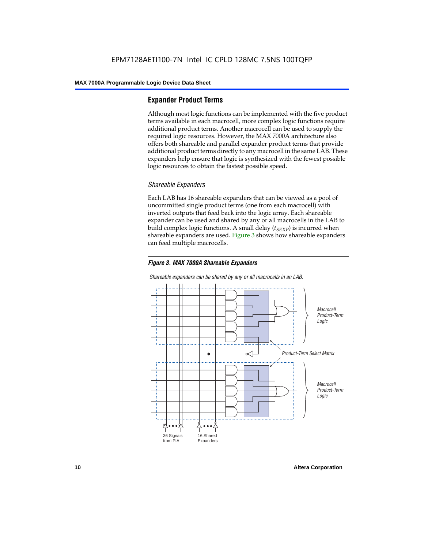# **Expander Product Terms**

Although most logic functions can be implemented with the five product terms available in each macrocell, more complex logic functions require additional product terms. Another macrocell can be used to supply the required logic resources. However, the MAX 7000A architecture also offers both shareable and parallel expander product terms that provide additional product terms directly to any macrocell in the same LAB. These expanders help ensure that logic is synthesized with the fewest possible logic resources to obtain the fastest possible speed.

### *Shareable Expanders*

Each LAB has 16 shareable expanders that can be viewed as a pool of uncommitted single product terms (one from each macrocell) with inverted outputs that feed back into the logic array. Each shareable expander can be used and shared by any or all macrocells in the LAB to build complex logic functions. A small delay  $(t_{SFXP})$  is incurred when shareable expanders are used. Figure 3 shows how shareable expanders can feed multiple macrocells.



**Macrocell** Product-Term Logic Product-Term Select Matrix **Macrocell** Product-Term Logic 36 Signals from PIA 16 Shared Expanders

*Shareable expanders can be shared by any or all macrocells in an LAB.*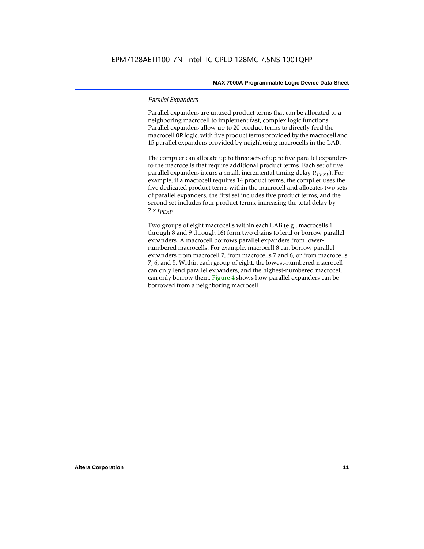### *Parallel Expanders*

Parallel expanders are unused product terms that can be allocated to a neighboring macrocell to implement fast, complex logic functions. Parallel expanders allow up to 20 product terms to directly feed the macrocell OR logic, with five product terms provided by the macrocell and 15 parallel expanders provided by neighboring macrocells in the LAB.

The compiler can allocate up to three sets of up to five parallel expanders to the macrocells that require additional product terms. Each set of five parallel expanders incurs a small, incremental timing delay (*t<sub>PEXP</sub>*). For example, if a macrocell requires 14 product terms, the compiler uses the five dedicated product terms within the macrocell and allocates two sets of parallel expanders; the first set includes five product terms, and the second set includes four product terms, increasing the total delay by  $2 \times t_{PEXP}$ .

Two groups of eight macrocells within each LAB (e.g., macrocells 1 through 8 and 9 through 16) form two chains to lend or borrow parallel expanders. A macrocell borrows parallel expanders from lowernumbered macrocells. For example, macrocell 8 can borrow parallel expanders from macrocell 7, from macrocells 7 and 6, or from macrocells 7, 6, and 5. Within each group of eight, the lowest-numbered macrocell can only lend parallel expanders, and the highest-numbered macrocell can only borrow them. Figure 4 shows how parallel expanders can be borrowed from a neighboring macrocell.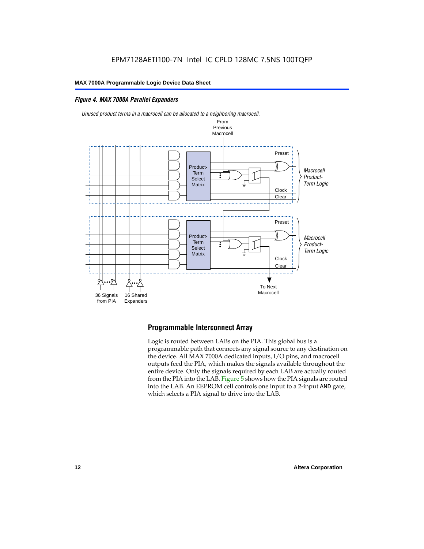# *Figure 4. MAX 7000A Parallel Expanders*



*Unused product terms in a macrocell can be allocated to a neighboring macrocell.*

# **Programmable Interconnect Array**

Logic is routed between LABs on the PIA. This global bus is a programmable path that connects any signal source to any destination on the device. All MAX 7000A dedicated inputs, I/O pins, and macrocell outputs feed the PIA, which makes the signals available throughout the entire device. Only the signals required by each LAB are actually routed from the PIA into the LAB. Figure 5 shows how the PIA signals are routed into the LAB. An EEPROM cell controls one input to a 2-input AND gate, which selects a PIA signal to drive into the LAB.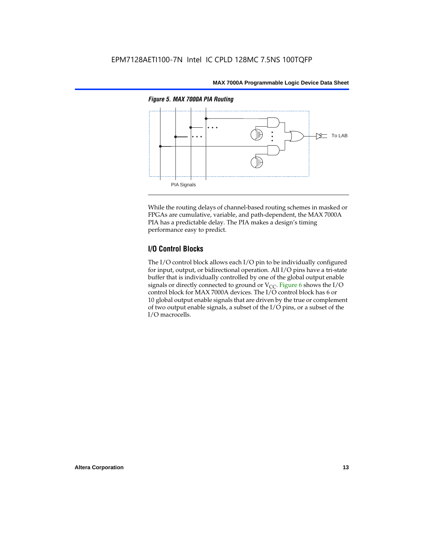

While the routing delays of channel-based routing schemes in masked or FPGAs are cumulative, variable, and path-dependent, the MAX 7000A PIA has a predictable delay. The PIA makes a design's timing performance easy to predict.

# **I/O Control Blocks**

The I/O control block allows each I/O pin to be individually configured for input, output, or bidirectional operation. All I/O pins have a tri-state buffer that is individually controlled by one of the global output enable signals or directly connected to ground or  $V_{CC}$ . Figure 6 shows the I/O control block for MAX 7000A devices. The I/O control block has 6 or 10 global output enable signals that are driven by the true or complement of two output enable signals, a subset of the I/O pins, or a subset of the I/O macrocells.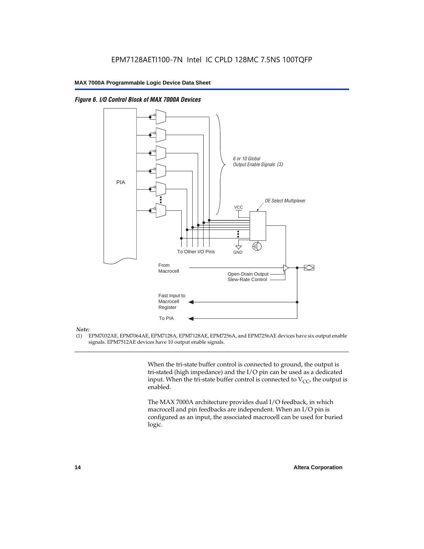

*Figure 6. I/O Control Block of MAX 7000A Devices*

#### *Note:*

(1) EPM7032AE, EPM7064AE, EPM7128A, EPM7128AE, EPM7256A, and EPM7256AE devices have six output enable signals. EPM7512AE devices have 10 output enable signals.

> When the tri-state buffer control is connected to ground, the output is tri-stated (high impedance) and the I/O pin can be used as a dedicated input. When the tri-state buffer control is connected to  $V_{CC}$ , the output is enabled.

The MAX 7000A architecture provides dual I/O feedback, in which macrocell and pin feedbacks are independent. When an I/O pin is configured as an input, the associated macrocell can be used for buried logic.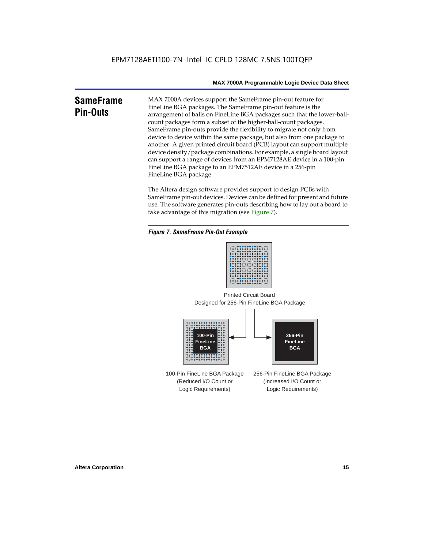#### **SameFrame Pin-Outs** MAX 7000A devices support the SameFrame pin-out feature for FineLine BGA packages. The SameFrame pin-out feature is the arrangement of balls on FineLine BGA packages such that the lower-ballcount packages form a subset of the higher-ball-count packages. SameFrame pin-outs provide the flexibility to migrate not only from device to device within the same package, but also from one package to another. A given printed circuit board (PCB) layout can support multiple device density/package combinations. For example, a single board layout can support a range of devices from an EPM7128AE device in a 100-pin FineLine BGA package to an EPM7512AE device in a 256-pin FineLine BGA package.

The Altera design software provides support to design PCBs with SameFrame pin-out devices. Devices can be defined for present and future use. The software generates pin-outs describing how to lay out a board to take advantage of this migration (see Figure 7).

#### *Figure 7. SameFrame Pin-Out Example*



Designed for 256-Pin FineLine BGA Package Printed Circuit Board



100-Pin FineLine BGA Package (Reduced I/O Count or Logic Requirements) 256-Pin FineLine BGA Package (Increased I/O Count or Logic Requirements)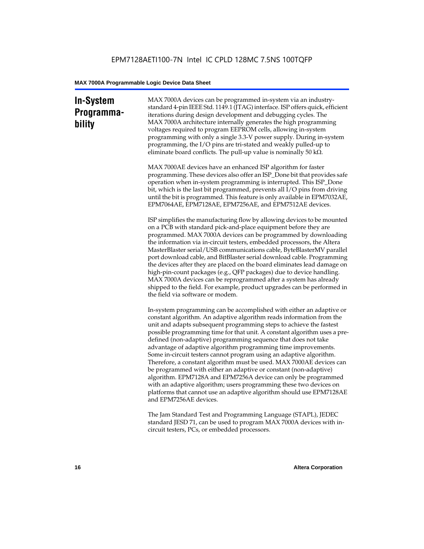# **In-System Programmability**

MAX 7000A devices can be programmed in-system via an industrystandard 4-pin IEEE Std. 1149.1 (JTAG) interface. ISP offers quick, efficient iterations during design development and debugging cycles. The MAX 7000A architecture internally generates the high programming voltages required to program EEPROM cells, allowing in-system programming with only a single 3.3-V power supply. During in-system programming, the I/O pins are tri-stated and weakly pulled-up to eliminate board conflicts. The pull-up value is nominally 50 k $\Omega$ .

MAX 7000AE devices have an enhanced ISP algorithm for faster programming. These devices also offer an ISP\_Done bit that provides safe operation when in-system programming is interrupted. This ISP\_Done bit, which is the last bit programmed, prevents all I/O pins from driving until the bit is programmed. This feature is only available in EPM7032AE, EPM7064AE, EPM7128AE, EPM7256AE, and EPM7512AE devices.

ISP simplifies the manufacturing flow by allowing devices to be mounted on a PCB with standard pick-and-place equipment before they are programmed. MAX 7000A devices can be programmed by downloading the information via in-circuit testers, embedded processors, the Altera MasterBlaster serial/USB communications cable, ByteBlasterMV parallel port download cable, and BitBlaster serial download cable. Programming the devices after they are placed on the board eliminates lead damage on high-pin-count packages (e.g., QFP packages) due to device handling. MAX 7000A devices can be reprogrammed after a system has already shipped to the field. For example, product upgrades can be performed in the field via software or modem.

In-system programming can be accomplished with either an adaptive or constant algorithm. An adaptive algorithm reads information from the unit and adapts subsequent programming steps to achieve the fastest possible programming time for that unit. A constant algorithm uses a predefined (non-adaptive) programming sequence that does not take advantage of adaptive algorithm programming time improvements. Some in-circuit testers cannot program using an adaptive algorithm. Therefore, a constant algorithm must be used. MAX 7000AE devices can be programmed with either an adaptive or constant (non-adaptive) algorithm. EPM7128A and EPM7256A device can only be programmed with an adaptive algorithm; users programming these two devices on platforms that cannot use an adaptive algorithm should use EPM7128AE and EPM7256AE devices.

The Jam Standard Test and Programming Language (STAPL), JEDEC standard JESD 71, can be used to program MAX 7000A devices with incircuit testers, PCs, or embedded processors.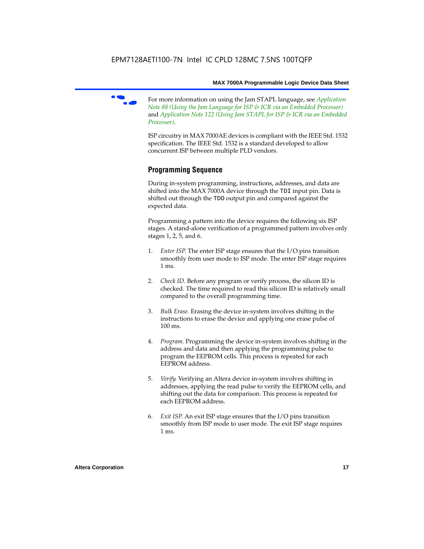

f For more information on using the Jam STAPL language, see *Application Note 88 (Using the Jam Language for ISP & ICR via an Embedded Processor)*  and *Application Note 122 (Using Jam STAPL for ISP & ICR via an Embedded Processor)*.

ISP circuitry in MAX 7000AE devices is compliant with the IEEE Std. 1532 specification. The IEEE Std. 1532 is a standard developed to allow concurrent ISP between multiple PLD vendors.

# **Programming Sequence**

During in-system programming, instructions, addresses, and data are shifted into the MAX 7000A device through the TDI input pin. Data is shifted out through the TDO output pin and compared against the expected data.

Programming a pattern into the device requires the following six ISP stages. A stand-alone verification of a programmed pattern involves only stages 1, 2, 5, and 6.

- 1. *Enter ISP*. The enter ISP stage ensures that the I/O pins transition smoothly from user mode to ISP mode. The enter ISP stage requires 1 ms.
- 2. *Check ID*. Before any program or verify process, the silicon ID is checked. The time required to read this silicon ID is relatively small compared to the overall programming time.
- 3. *Bulk Erase*. Erasing the device in-system involves shifting in the instructions to erase the device and applying one erase pulse of 100 ms.
- 4. *Program*. Programming the device in-system involves shifting in the address and data and then applying the programming pulse to program the EEPROM cells. This process is repeated for each EEPROM address.
- 5. *Verify*. Verifying an Altera device in-system involves shifting in addresses, applying the read pulse to verify the EEPROM cells, and shifting out the data for comparison. This process is repeated for each EEPROM address.
- 6. *Exit ISP*. An exit ISP stage ensures that the I/O pins transition smoothly from ISP mode to user mode. The exit ISP stage requires 1 ms.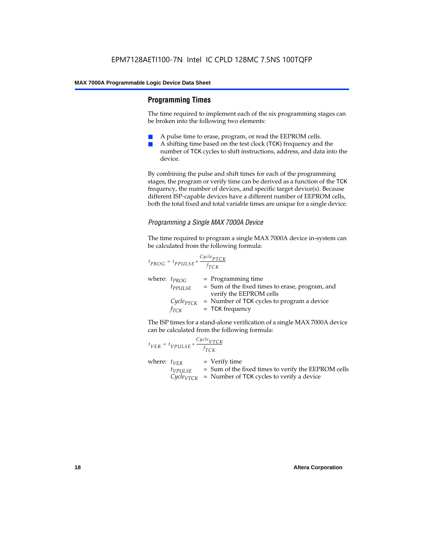# **Programming Times**

The time required to implement each of the six programming stages can be broken into the following two elements:

- A pulse time to erase, program, or read the EEPROM cells.
- A shifting time based on the test clock (TCK) frequency and the number of TCK cycles to shift instructions, address, and data into the device.

By combining the pulse and shift times for each of the programming stages, the program or verify time can be derived as a function of the TCK frequency, the number of devices, and specific target device(s). Because different ISP-capable devices have a different number of EEPROM cells, both the total fixed and total variable times are unique for a single device.

### *Programming a Single MAX 7000A Device*

The time required to program a single MAX 7000A device in-system can be calculated from the following formula:

$$
t_{PROG} = t_{PPULSE} + \frac{c_{ycle_{PTCK}}}{f_{TCK}}
$$
  
where:  $t_{PROG}$  = Programming time  
 $t_{PPULSE}$  = Sum of the fixed times to erase, program, and  
verify the EEPROM cells  
 $C_{ycle_{PTCK}}$  = Number of TCK cycles to program a device  
 $f_{TCK}$  = TCK frequency

The ISP times for a stand-alone verification of a single MAX 7000A device can be calculated from the following formula:

| $t_{VER} = t_{VPULSE} + \frac{Cycle_{VTCK}}{f_{TCK}}$ |                                                                                                                                 |
|-------------------------------------------------------|---------------------------------------------------------------------------------------------------------------------------------|
| where: $t_{VER}$<br>$t_{VPULSE}$                      | $=$ Verify time<br>= Sum of the fixed times to verify the EEPROM cells<br>$CycleVTCK$ = Number of TCK cycles to verify a device |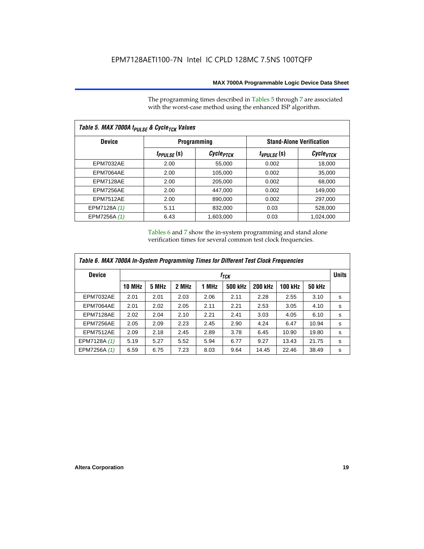The programming times described in Tables 5 through 7 are associated with the worst-case method using the enhanced ISP algorithm.

| Table 5. MAX 7000A t <sub>PULSE</sub> & Cycle <sub>TCK</sub> Values |                 |                       |                                 |                       |  |  |  |
|---------------------------------------------------------------------|-----------------|-----------------------|---------------------------------|-----------------------|--|--|--|
| <b>Device</b>                                                       |                 | <b>Programming</b>    | <b>Stand-Alone Verification</b> |                       |  |  |  |
|                                                                     | $t_{PPULSE}(s)$ | Cycle <sub>PTCK</sub> | $t_{VPULSE}(s)$                 | Cycle <sub>VTCK</sub> |  |  |  |
| <b>EPM7032AE</b>                                                    | 2.00            | 55.000                | 0.002                           | 18.000                |  |  |  |
| EPM7064AE                                                           | 2.00            | 105.000               | 0.002                           | 35.000                |  |  |  |
| EPM7128AE                                                           | 2.00            | 205,000               | 0.002                           | 68,000                |  |  |  |
| EPM7256AE                                                           | 2.00            | 447.000               | 0.002                           | 149.000               |  |  |  |
| <b>EPM7512AE</b>                                                    | 2.00            | 890,000               | 0.002                           | 297,000               |  |  |  |
| EPM7128A (1)                                                        | 5.11            | 832.000               | 0.03                            | 528,000               |  |  |  |
| EPM7256A (1)                                                        | 6.43            | 1.603.000             | 0.03                            | 1,024,000             |  |  |  |

Tables 6 and 7 show the in-system programming and stand alone verification times for several common test clock frequencies.

| Table 6. MAX 7000A In-System Programming Times for Different Test Clock Frequencies |               |                  |       |       |         |                |                |               |              |
|-------------------------------------------------------------------------------------|---------------|------------------|-------|-------|---------|----------------|----------------|---------------|--------------|
| <b>Device</b>                                                                       |               | f <sub>ТСК</sub> |       |       |         |                |                |               | <b>Units</b> |
|                                                                                     | <b>10 MHz</b> | 5 MHz            | 2 MHz | 1 MHz | 500 kHz | <b>200 kHz</b> | <b>100 kHz</b> | <b>50 kHz</b> |              |
| <b>EPM7032AE</b>                                                                    | 2.01          | 2.01             | 2.03  | 2.06  | 2.11    | 2.28           | 2.55           | 3.10          | s            |
| EPM7064AE                                                                           | 2.01          | 2.02             | 2.05  | 2.11  | 2.21    | 2.53           | 3.05           | 4.10          | s            |
| EPM7128AE                                                                           | 2.02          | 2.04             | 2.10  | 2.21  | 2.41    | 3.03           | 4.05           | 6.10          | s            |
| EPM7256AE                                                                           | 2.05          | 2.09             | 2.23  | 2.45  | 2.90    | 4.24           | 6.47           | 10.94         | s            |
| <b>EPM7512AE</b>                                                                    | 2.09          | 2.18             | 2.45  | 2.89  | 3.78    | 6.45           | 10.90          | 19.80         | s            |
| EPM7128A (1)                                                                        | 5.19          | 5.27             | 5.52  | 5.94  | 6.77    | 9.27           | 13.43          | 21.75         | s            |
| EPM7256A (1)                                                                        | 6.59          | 6.75             | 7.23  | 8.03  | 9.64    | 14.45          | 22.46          | 38.49         | s            |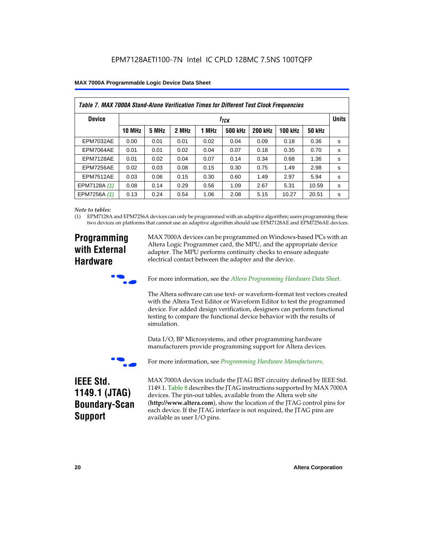|  |  |  | <b>MAX 7000A Programmable Logic Device Data Sheet</b> |
|--|--|--|-------------------------------------------------------|
|--|--|--|-------------------------------------------------------|

| Table 7. MAX 7000A Stand-Alone Verification Times for Different Test Clock Frequencies |               |               |       |       |                |                |                |               |              |
|----------------------------------------------------------------------------------------|---------------|---------------|-------|-------|----------------|----------------|----------------|---------------|--------------|
| <b>Device</b>                                                                          |               | $t_{\rm TCK}$ |       |       |                |                |                |               | <b>Units</b> |
|                                                                                        | <b>10 MHz</b> | 5 MHz         | 2 MHz | 1 MHz | <b>500 kHz</b> | <b>200 kHz</b> | <b>100 kHz</b> | <b>50 kHz</b> |              |
| <b>EPM7032AE</b>                                                                       | 0.00          | 0.01          | 0.01  | 0.02  | 0.04           | 0.09           | 0.18           | 0.36          | s            |
| <b>EPM7064AE</b>                                                                       | 0.01          | 0.01          | 0.02  | 0.04  | 0.07           | 0.18           | 0.35           | 0.70          | s            |
| EPM7128AE                                                                              | 0.01          | 0.02          | 0.04  | 0.07  | 0.14           | 0.34           | 0.68           | 1.36          | s            |
| EPM7256AE                                                                              | 0.02          | 0.03          | 0.08  | 0.15  | 0.30           | 0.75           | 1.49           | 2.98          | s            |
| <b>EPM7512AE</b>                                                                       | 0.03          | 0.06          | 0.15  | 0.30  | 0.60           | 1.49           | 2.97           | 5.94          | s            |
| EPM7128A (1)                                                                           | 0.08          | 0.14          | 0.29  | 0.56  | 1.09           | 2.67           | 5.31           | 10.59         | s            |
| EPM7256A (1)                                                                           | 0.13          | 0.24          | 0.54  | 1.06  | 2.08           | 5.15           | 10.27          | 20.51         | s            |

#### *Note to tables:*

(1) EPM7128A and EPM7256A devices can only be programmed with an adaptive algorithm; users programming these two devices on platforms that cannot use an adaptive algorithm should use EPM7128AE and EPM7256AE devices.

# **Programming with External Hardware**

MAX 7000A devices can be programmed on Windows-based PCs with an Altera Logic Programmer card, the MPU, and the appropriate device adapter. The MPU performs continuity checks to ensure adequate electrical contact between the adapter and the device.



For more information, see the *Altera Programming Hardware Data Sheet*.

The Altera software can use text- or waveform-format test vectors created with the Altera Text Editor or Waveform Editor to test the programmed device. For added design verification, designers can perform functional testing to compare the functional device behavior with the results of simulation.

Data I/O, BP Microsystems, and other programming hardware manufacturers provide programming support for Altera devices.



For more information, see *Programming Hardware Manufacturers*.

# **IEEE Std. 1149.1 (JTAG) Boundary-Scan Support**

MAX 7000A devices include the JTAG BST circuitry defined by IEEE Std. 1149.1. Table 8 describes the JTAG instructions supported by MAX 7000A devices. The pin-out tables, available from the Altera web site (**http://www.altera.com**), show the location of the JTAG control pins for each device. If the JTAG interface is not required, the JTAG pins are available as user I/O pins.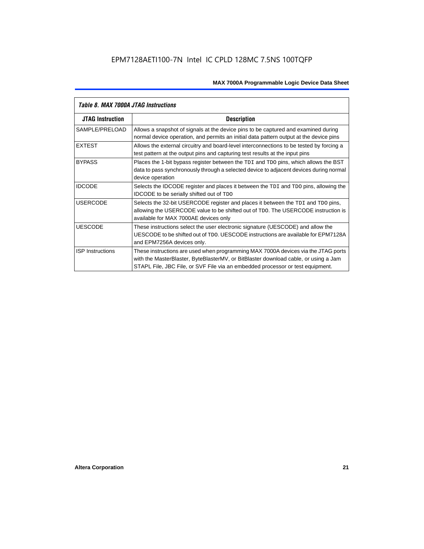| Table 8. MAX 7000A JTAG Instructions |                                                                                                                                                                                                                                                            |  |  |  |  |
|--------------------------------------|------------------------------------------------------------------------------------------------------------------------------------------------------------------------------------------------------------------------------------------------------------|--|--|--|--|
| <b>JTAG Instruction</b>              | <b>Description</b>                                                                                                                                                                                                                                         |  |  |  |  |
| SAMPLE/PRELOAD                       | Allows a snapshot of signals at the device pins to be captured and examined during<br>normal device operation, and permits an initial data pattern output at the device pins                                                                               |  |  |  |  |
| <b>EXTEST</b>                        | Allows the external circuitry and board-level interconnections to be tested by forcing a<br>test pattern at the output pins and capturing test results at the input pins                                                                                   |  |  |  |  |
| <b>BYPASS</b>                        | Places the 1-bit bypass register between the TDI and TDO pins, which allows the BST<br>data to pass synchronously through a selected device to adjacent devices during normal<br>device operation                                                          |  |  |  |  |
| <b>IDCODE</b>                        | Selects the IDCODE register and places it between the TDI and TDO pins, allowing the<br><b>IDCODE</b> to be serially shifted out of TDO                                                                                                                    |  |  |  |  |
| <b>USERCODE</b>                      | Selects the 32-bit USERCODE register and places it between the TDI and TDO pins,<br>allowing the USERCODE value to be shifted out of TDO. The USERCODE instruction is<br>available for MAX 7000AE devices only                                             |  |  |  |  |
| <b>UESCODE</b>                       | These instructions select the user electronic signature (UESCODE) and allow the<br>UESCODE to be shifted out of TDO, UESCODE instructions are available for EPM7128A<br>and EPM7256A devices only.                                                         |  |  |  |  |
| <b>ISP Instructions</b>              | These instructions are used when programming MAX 7000A devices via the JTAG ports<br>with the MasterBlaster, ByteBlasterMV, or BitBlaster download cable, or using a Jam<br>STAPL File, JBC File, or SVF File via an embedded processor or test equipment. |  |  |  |  |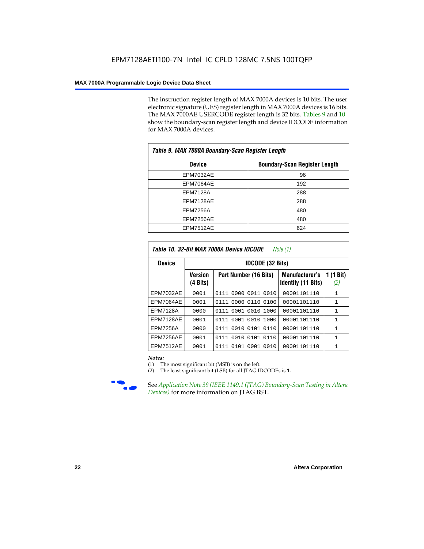The instruction register length of MAX 7000A devices is 10 bits. The user electronic signature (UES) register length in MAX 7000A devices is 16 bits. The MAX 7000AE USERCODE register length is 32 bits. Tables 9 and 10 show the boundary-scan register length and device IDCODE information for MAX 7000A devices.

| Table 9. MAX 7000A Boundary-Scan Register Length |                                      |  |  |  |  |
|--------------------------------------------------|--------------------------------------|--|--|--|--|
| <b>Device</b>                                    | <b>Boundary-Scan Register Length</b> |  |  |  |  |
| <b>EPM7032AE</b>                                 | 96                                   |  |  |  |  |
| EPM7064AE                                        | 192                                  |  |  |  |  |
| <b>EPM7128A</b>                                  | 288                                  |  |  |  |  |
| EPM7128AE                                        | 288                                  |  |  |  |  |
| <b>EPM7256A</b>                                  | 480                                  |  |  |  |  |
| EPM7256AE                                        | 480                                  |  |  |  |  |
| EPM7512AE                                        | 624                                  |  |  |  |  |

| Table 10. 32-Bit MAX 7000A Device IDCODE<br>Note (1) |                            |                              |                                                    |                               |  |  |  |  |  |
|------------------------------------------------------|----------------------------|------------------------------|----------------------------------------------------|-------------------------------|--|--|--|--|--|
| <b>Device</b>                                        |                            | <b>IDCODE (32 Bits)</b>      |                                                    |                               |  |  |  |  |  |
|                                                      | <b>Version</b><br>(4 Bits) | Part Number (16 Bits)        | <b>Manufacturer's</b><br><b>Identity (11 Bits)</b> | $(1 \text{ Bit})$<br>1<br>(2) |  |  |  |  |  |
| <b>EPM7032AE</b>                                     | 0001                       | 0000<br>0011<br>0010<br>0111 | 00001101110                                        | $\mathbf{1}$                  |  |  |  |  |  |
| EPM7064AE                                            | 0001                       | 0000<br>0110<br>0100<br>0111 | 00001101110                                        | $\mathbf{1}$                  |  |  |  |  |  |
| <b>EPM7128A</b>                                      | 0000                       | 0111 0001 0010 1000          | 00001101110                                        | $\mathbf{1}$                  |  |  |  |  |  |
| EPM7128AE                                            | 0001                       | 0111 0001 0010 1000          | 00001101110                                        | $\mathbf{1}$                  |  |  |  |  |  |
| <b>EPM7256A</b>                                      | 0000                       | 0111 0010 0101 0110          | 00001101110                                        | 1                             |  |  |  |  |  |
| EPM7256AE                                            | 0001                       | 0010 0101<br>0110<br>0111    | 00001101110                                        | $\mathbf{1}$                  |  |  |  |  |  |
| <b>EPM7512AE</b>                                     | 0001                       | 0101 0001<br>0010<br>0111    | 00001101110                                        | $\mathbf{1}$                  |  |  |  |  |  |

#### *Notes:*

(1) The most significant bit (MSB) is on the left.

(2) The least significant bit (LSB) for all JTAG IDCODEs is 1.



**Figure 39 (IEEE 1149.1 (JTAG) Boundary-Scan Testing in Altera** *Devices)* for more information on JTAG BST.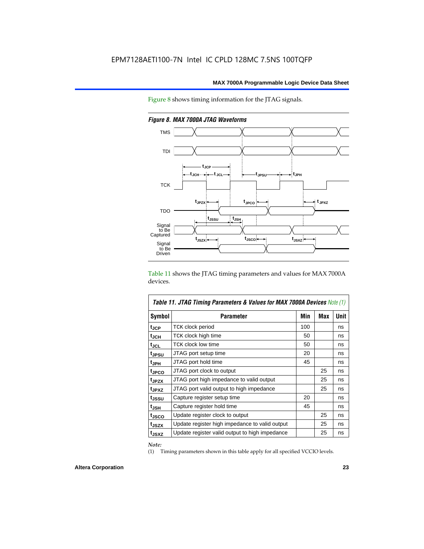Figure 8 shows timing information for the JTAG signals.



*Figure 8. MAX 7000A JTAG Waveforms*

Table 11 shows the JTAG timing parameters and values for MAX 7000A devices.

| <b>Table 11. JTAG Timing Parameters &amp; Values for MAX 7000A Devices Note (1)</b> |                                                |     |     |      |  |  |  |  |
|-------------------------------------------------------------------------------------|------------------------------------------------|-----|-----|------|--|--|--|--|
| Symbol                                                                              | <b>Parameter</b>                               | Min | Max | Unit |  |  |  |  |
| t <sub>JCP</sub>                                                                    | TCK clock period                               | 100 |     | ns   |  |  |  |  |
| t <sub>JCH</sub>                                                                    | TCK clock high time                            | 50  |     | ns   |  |  |  |  |
| tjcl                                                                                | TCK clock low time                             | 50  |     | ns   |  |  |  |  |
| tjpsu                                                                               | JTAG port setup time                           | 20  |     | ns   |  |  |  |  |
| t <sub>JPH</sub>                                                                    | JTAG port hold time                            | 45  |     | ns   |  |  |  |  |
| tjpco                                                                               | JTAG port clock to output                      |     | 25  | ns   |  |  |  |  |
| t <sub>JPZX</sub>                                                                   | JTAG port high impedance to valid output       |     | 25  | ns   |  |  |  |  |
| t <sub>JPXZ</sub>                                                                   | JTAG port valid output to high impedance       |     | 25  | ns   |  |  |  |  |
| tjssu                                                                               | Capture register setup time                    | 20  |     | ns   |  |  |  |  |
| t <sub>JSH</sub>                                                                    | Capture register hold time                     | 45  |     | ns   |  |  |  |  |
| t <sub>JSCO</sub>                                                                   | Update register clock to output                |     | 25  | ns   |  |  |  |  |
| t <sub>JSZX</sub>                                                                   | Update register high impedance to valid output |     | 25  | ns   |  |  |  |  |
| t <sub>JSXZ</sub>                                                                   | Update register valid output to high impedance |     | 25  | ns   |  |  |  |  |

*Note:*

(1) Timing parameters shown in this table apply for all specified VCCIO levels.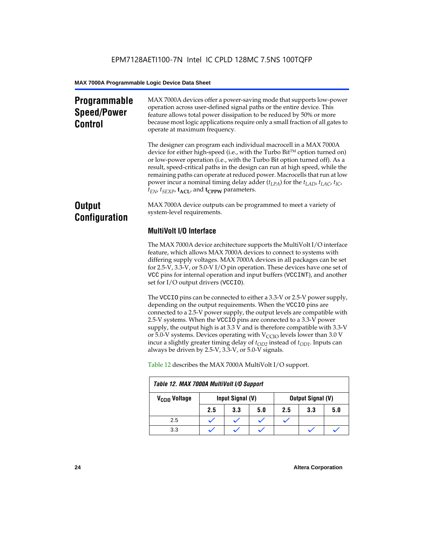# **Programmable Speed/Power Control**

MAX 7000A devices offer a power-saving mode that supports low-power operation across user-defined signal paths or the entire device. This feature allows total power dissipation to be reduced by 50% or more because most logic applications require only a small fraction of all gates to operate at maximum frequency.

The designer can program each individual macrocell in a MAX 7000A device for either high-speed (i.e., with the Turbo  $Bit^{TM}$  option turned on) or low-power operation (i.e., with the Turbo Bit option turned off). As a result, speed-critical paths in the design can run at high speed, while the remaining paths can operate at reduced power. Macrocells that run at low power incur a nominal timing delay adder (*tLPA*) for the *tLAD*, *tLAC*, *tIC*,  $t_{EN}$ ,  $t_{SEXP}$ ,  $t_{ACL}$ , and  $t_{CPPW}$  parameters.

# **Output Configuration**

MAX 7000A device outputs can be programmed to meet a variety of system-level requirements.

# **MultiVolt I/O Interface**

The MAX 7000A device architecture supports the MultiVolt I/O interface feature, which allows MAX 7000A devices to connect to systems with differing supply voltages. MAX 7000A devices in all packages can be set for 2.5-V, 3.3-V, or 5.0-V I/O pin operation. These devices have one set of VCC pins for internal operation and input buffers (VCCINT), and another set for I/O output drivers (VCCIO).

The VCCIO pins can be connected to either a 3.3-V or 2.5-V power supply, depending on the output requirements. When the VCCIO pins are connected to a 2.5-V power supply, the output levels are compatible with 2.5-V systems. When the VCCIO pins are connected to a 3.3-V power supply, the output high is at 3.3 V and is therefore compatible with 3.3-V or 5.0-V systems. Devices operating with  $V_{\text{CCIO}}$  levels lower than 3.0 V incur a slightly greater timing delay of  $t_{OD2}$  instead of  $t_{OD1}$ . Inputs can always be driven by 2.5-V, 3.3-V, or 5.0-V signals.

| Table 12. MAX 7000A MultiVolt I/O Support |                  |     |     |                          |     |     |  |
|-------------------------------------------|------------------|-----|-----|--------------------------|-----|-----|--|
| V <sub>CCIO</sub> Voltage                 | Input Signal (V) |     |     | <b>Output Signal (V)</b> |     |     |  |
|                                           | 2.5              | 3.3 | 5.0 | 2.5                      | 3.3 | 5.0 |  |
| 2.5                                       |                  |     |     |                          |     |     |  |
| 3.3                                       |                  |     |     |                          |     |     |  |

Table 12 describes the MAX 7000A MultiVolt I/O support.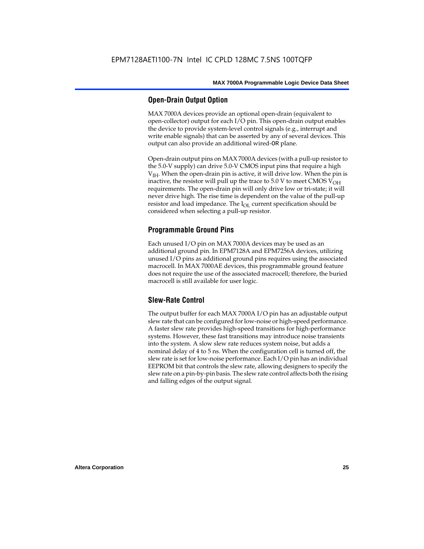# **Open-Drain Output Option**

MAX 7000A devices provide an optional open-drain (equivalent to open-collector) output for each I/O pin. This open-drain output enables the device to provide system-level control signals (e.g., interrupt and write enable signals) that can be asserted by any of several devices. This output can also provide an additional wired-OR plane.

Open-drain output pins on MAX 7000A devices (with a pull-up resistor to the 5.0-V supply) can drive 5.0-V CMOS input pins that require a high  $V<sub>IH</sub>$ . When the open-drain pin is active, it will drive low. When the pin is inactive, the resistor will pull up the trace to  $5.0$  V to meet CMOS V<sub>OH</sub> requirements. The open-drain pin will only drive low or tri-state; it will never drive high. The rise time is dependent on the value of the pull-up resistor and load impedance. The  $I_{OL}$  current specification should be considered when selecting a pull-up resistor.

# **Programmable Ground Pins**

Each unused I/O pin on MAX 7000A devices may be used as an additional ground pin. In EPM7128A and EPM7256A devices, utilizing unused I/O pins as additional ground pins requires using the associated macrocell. In MAX 7000AE devices, this programmable ground feature does not require the use of the associated macrocell; therefore, the buried macrocell is still available for user logic.

# **Slew-Rate Control**

The output buffer for each MAX 7000A I/O pin has an adjustable output slew rate that can be configured for low-noise or high-speed performance. A faster slew rate provides high-speed transitions for high-performance systems. However, these fast transitions may introduce noise transients into the system. A slow slew rate reduces system noise, but adds a nominal delay of 4 to 5 ns. When the configuration cell is turned off, the slew rate is set for low-noise performance. Each I/O pin has an individual EEPROM bit that controls the slew rate, allowing designers to specify the slew rate on a pin-by-pin basis. The slew rate control affects both the rising and falling edges of the output signal.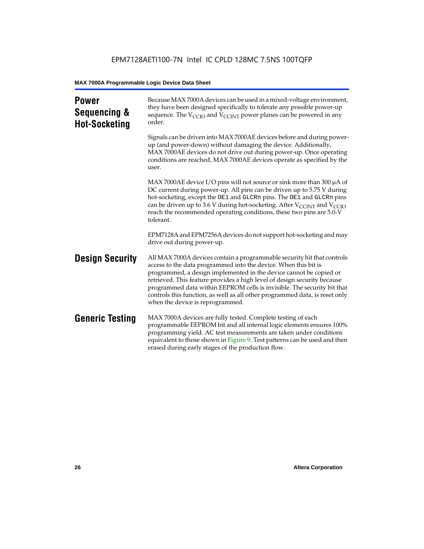| <b>Power</b><br>Sequencing &<br><b>Hot-Socketing</b> | Because MAX 7000A devices can be used in a mixed-voltage environment,<br>they have been designed specifically to tolerate any possible power-up<br>sequence. The $V_{\text{CCIO}}$ and $V_{\text{CCINT}}$ power planes can be powered in any<br>order.                                                                                                                                                                                                                                     |
|------------------------------------------------------|--------------------------------------------------------------------------------------------------------------------------------------------------------------------------------------------------------------------------------------------------------------------------------------------------------------------------------------------------------------------------------------------------------------------------------------------------------------------------------------------|
|                                                      | Signals can be driven into MAX 7000AE devices before and during power-<br>up (and power-down) without damaging the device. Additionally,<br>MAX 7000AE devices do not drive out during power-up. Once operating<br>conditions are reached, MAX 7000AE devices operate as specified by the<br>user.                                                                                                                                                                                         |
|                                                      | MAX 7000AE device I/O pins will not source or sink more than 300 µA of<br>DC current during power-up. All pins can be driven up to 5.75 V during<br>hot-socketing, except the OE1 and GLCRn pins. The OE1 and GLCRn pins<br>can be driven up to 3.6 V during hot-socketing. After $V_{\text{CCINT}}$ and $V_{\text{CCIO}}$<br>reach the recommended operating conditions, these two pins are 5.0-V<br>tolerant.                                                                            |
|                                                      | EPM7128A and EPM7256A devices do not support hot-socketing and may<br>drive out during power-up.                                                                                                                                                                                                                                                                                                                                                                                           |
| <b>Design Security</b>                               | All MAX 7000A devices contain a programmable security bit that controls<br>access to the data programmed into the device. When this bit is<br>programmed, a design implemented in the device cannot be copied or<br>retrieved. This feature provides a high level of design security because<br>programmed data within EEPROM cells is invisible. The security bit that<br>controls this function, as well as all other programmed data, is reset only<br>when the device is reprogrammed. |
| <b>Generic Testing</b>                               | MAX 7000A devices are fully tested. Complete testing of each<br>programmable EEPROM bit and all internal logic elements ensures 100%<br>programming yield. AC test measurements are taken under conditions<br>equivalent to those shown in Figure 9. Test patterns can be used and then<br>erased during early stages of the production flow.                                                                                                                                              |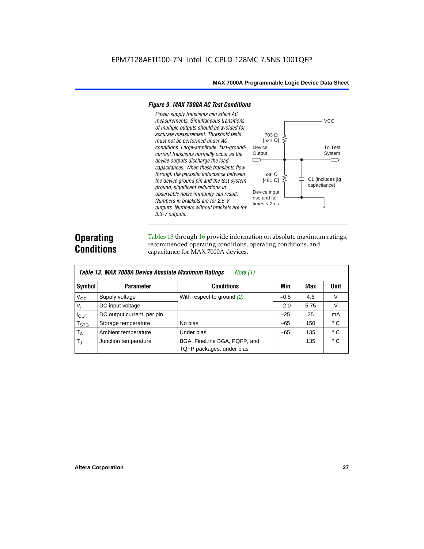#### *Figure 9. MAX 7000A AC Test Conditions*

*3.3-V outputs.*



# **Operating Conditions**

Tables 13 through 16 provide information on absolute maximum ratings, recommended operating conditions, operating conditions, and capacitance for MAX 7000A devices.

| Table 13. MAX 7000A Device Absolute Maximum Ratings<br>Note $(1)$ |                            |                                                           |        |      |              |  |  |  |  |
|-------------------------------------------------------------------|----------------------------|-----------------------------------------------------------|--------|------|--------------|--|--|--|--|
| Symbol                                                            | <b>Parameter</b>           | <b>Conditions</b>                                         | Min    | Max  | <b>Unit</b>  |  |  |  |  |
| $V_{CC}$                                                          | Supply voltage             | With respect to ground $(2)$                              | $-0.5$ | 4.6  | V            |  |  |  |  |
| $V_{I}$                                                           | DC input voltage           |                                                           | $-2.0$ | 5.75 | $\vee$       |  |  |  |  |
| $I_{OUT}$                                                         | DC output current, per pin |                                                           | $-25$  | 25   | mA           |  |  |  |  |
| <b>T<sub>STG</sub></b>                                            | Storage temperature        | No bias                                                   | $-65$  | 150  | $^{\circ}$ C |  |  |  |  |
| $T_A$                                                             | Ambient temperature        | Under bias                                                | $-65$  | 135  | $^{\circ}$ C |  |  |  |  |
| $T_{\rm J}$                                                       | Junction temperature       | BGA, FineLine BGA, PQFP, and<br>TQFP packages, under bias |        | 135  | $^{\circ}$ C |  |  |  |  |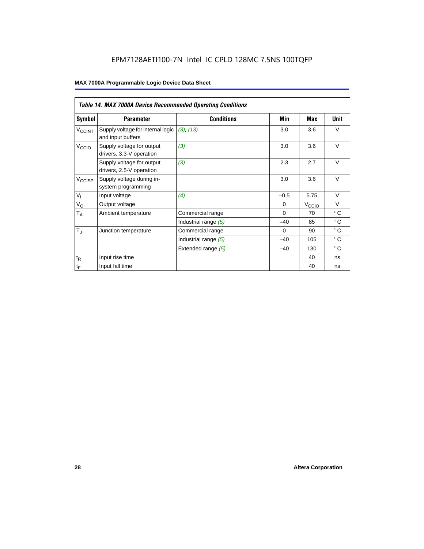# EPM7128AETI100-7N Intel IC CPLD 128MC 7.5NS 100TQFP

|                          | <b>Table 14. MAX 7000A Device Recommended Operating Conditions</b> |                      |          |                   |              |  |  |  |  |  |
|--------------------------|--------------------------------------------------------------------|----------------------|----------|-------------------|--------------|--|--|--|--|--|
| Symbol                   | <b>Parameter</b>                                                   | <b>Conditions</b>    | Min      | Max               | Unit         |  |  |  |  |  |
| <b>V<sub>CCINT</sub></b> | Supply voltage for internal logic<br>and input buffers             | (3), (13)            | 3.0      | 3.6               | $\vee$       |  |  |  |  |  |
| V <sub>CCIO</sub>        | Supply voltage for output<br>drivers, 3.3-V operation              | (3)                  | 3.0      | 3.6               | $\vee$       |  |  |  |  |  |
|                          | Supply voltage for output<br>drivers, 2.5-V operation              | (3)                  | 2.3      | 2.7               | $\vee$       |  |  |  |  |  |
| $V_{\text{CCISP}}$       | Supply voltage during in-<br>system programming                    |                      | 3.0      | 3.6               | $\vee$       |  |  |  |  |  |
| $V_{I}$                  | Input voltage                                                      | (4)                  | $-0.5$   | 5.75              | $\vee$       |  |  |  |  |  |
| $V_{\rm O}$              | Output voltage                                                     |                      | $\Omega$ | V <sub>ccio</sub> | $\vee$       |  |  |  |  |  |
| $T_A$                    | Ambient temperature                                                | Commercial range     | $\Omega$ | 70                | $^{\circ}$ C |  |  |  |  |  |
|                          |                                                                    | Industrial range (5) | $-40$    | 85                | $^{\circ}$ C |  |  |  |  |  |
| $T_{\rm J}$              | Junction temperature                                               | Commercial range     | $\Omega$ | 90                | $^{\circ}$ C |  |  |  |  |  |
|                          |                                                                    | Industrial range (5) | $-40$    | 105               | $^{\circ}$ C |  |  |  |  |  |
|                          |                                                                    | Extended range (5)   | $-40$    | 130               | $^{\circ}$ C |  |  |  |  |  |
| $t_{\mathsf{R}}$         | Input rise time                                                    |                      |          | 40                | ns           |  |  |  |  |  |
| $t_F$                    | Input fall time                                                    |                      |          | 40                | ns           |  |  |  |  |  |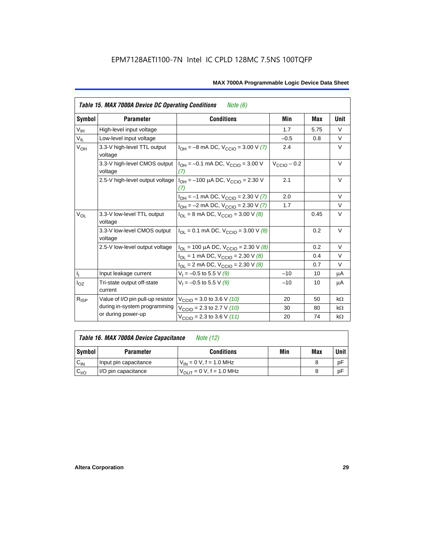|                  | <b>Table 15. MAX 7000A Device DC Operating Conditions</b><br>Note (6)           |                                                                             |                 |      |             |  |  |  |  |  |
|------------------|---------------------------------------------------------------------------------|-----------------------------------------------------------------------------|-----------------|------|-------------|--|--|--|--|--|
| Symbol           | <b>Parameter</b>                                                                | <b>Conditions</b>                                                           | Min             | Max  | <b>Unit</b> |  |  |  |  |  |
| V <sub>IH</sub>  | High-level input voltage                                                        |                                                                             | 1.7             | 5.75 | $\vee$      |  |  |  |  |  |
| $V_{IL}$         | Low-level input voltage                                                         |                                                                             | $-0.5$          | 0.8  | V           |  |  |  |  |  |
| $V_{OH}$         | 3.3-V high-level TTL output<br>voltage                                          | $I_{OH} = -8$ mA DC, $V_{CCIO} = 3.00$ V (7)                                | 2.4             |      | $\vee$      |  |  |  |  |  |
|                  | 3.3-V high-level CMOS output<br>voltage                                         | $I_{OH} = -0.1$ mA DC, $V_{CClO} = 3.00$ V<br>(7)                           | $V_{CCD}$ – 0.2 |      | $\vee$      |  |  |  |  |  |
|                  | 2.5-V high-level output voltage $ I_{OH} = -100 \mu A DC$ , $V_{CClO} = 2.30 V$ | 2.1                                                                         |                 | V    |             |  |  |  |  |  |
|                  |                                                                                 | $I_{OH} = -1$ mA DC, $V_{CCIO} = 2.30$ V (7)                                | 2.0             |      | $\vee$      |  |  |  |  |  |
|                  |                                                                                 | $I_{OH} = -2$ mA DC, $V_{CCIO} = 2.30$ V (7)                                | 1.7             |      | $\vee$      |  |  |  |  |  |
| $V_{OL}$         | 3.3-V low-level TTL output<br>voltage                                           | $I_{OL}$ = 8 mA DC, $V_{CCIO}$ = 3.00 V (8)                                 |                 | 0.45 | V           |  |  |  |  |  |
|                  | 3.3-V low-level CMOS output<br>voltage                                          | $I_{\text{OI}} = 0.1 \text{ mA DC}$ , $V_{\text{CCl}} = 3.00 \text{ V}$ (8) |                 | 0.2  | V           |  |  |  |  |  |
|                  | 2.5-V low-level output voltage                                                  | $I_{OL}$ = 100 µA DC, $V_{CCIO}$ = 2.30 V (8)                               |                 | 0.2  | $\vee$      |  |  |  |  |  |
|                  |                                                                                 | $I_{OL}$ = 1 mA DC, $V_{CCIO}$ = 2.30 V (8)                                 |                 | 0.4  | $\vee$      |  |  |  |  |  |
|                  |                                                                                 | $I_{OL}$ = 2 mA DC, $V_{CCIO}$ = 2.30 V (8)                                 |                 | 0.7  | V           |  |  |  |  |  |
| $I_{\rm L}$      | Input leakage current                                                           | $V_1 = -0.5$ to 5.5 V (9)                                                   | $-10$           | 10   | μA          |  |  |  |  |  |
| $I_{OZ}$         | Tri-state output off-state<br>current                                           | $V_1 = -0.5$ to 5.5 V (9)                                                   | $-10$           | 10   | μA          |  |  |  |  |  |
| $R_{\text{ISP}}$ | Value of I/O pin pull-up resistor                                               | $V_{\text{CCIO}}$ = 3.0 to 3.6 V (10)                                       | 20              | 50   | $k\Omega$   |  |  |  |  |  |
|                  | during in-system programming                                                    | $V_{\text{CCIO}}$ = 2.3 to 2.7 V (10)                                       | 30              | 80   | $k\Omega$   |  |  |  |  |  |
|                  | or during power-up                                                              | $V_{\text{CCIO}} = 2.3$ to 3.6 V (11)                                       | 20              | 74   | $k\Omega$   |  |  |  |  |  |

| Table 16. MAX 7000A Device Capacitance | Note (12) |
|----------------------------------------|-----------|
|                                        |           |

| Symbol    | <b>Parameter</b>      | <b>Conditions</b>                   | Min | Max | Unit |
|-----------|-----------------------|-------------------------------------|-----|-----|------|
| $C_{IN}$  | Input pin capacitance | $V_{IN} = 0 V$ , f = 1.0 MHz        |     |     | рF   |
| $C_{I/O}$ | I/O pin capacitance   | $V_{\text{OUT}} = 0 V, f = 1.0 MHz$ |     |     | рF   |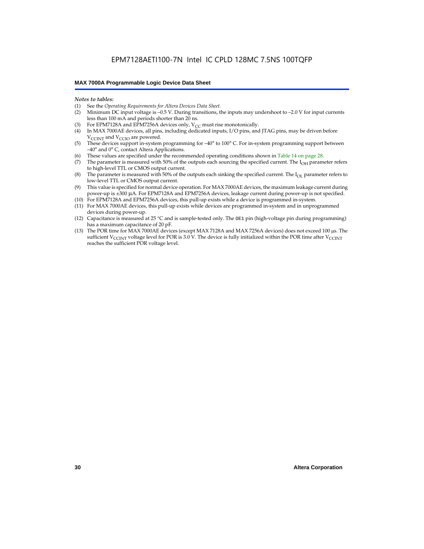#### *Notes to tables:*

- (1) See the *Operating Requirements for Altera Devices Data Sheet.*
- Minimum DC input voltage is –0.5 V. During transitions, the inputs may undershoot to –2.0 V for input currents less than 100 mA and periods shorter than 20 ns.
- (3) For EPM7128A and EPM7256A devices only,  $V_{CC}$  must rise monotonically.
- (4) In MAX 7000AE devices, all pins, including dedicated inputs, I/O pins, and JTAG pins, may be driven before V<sub>CCINT</sub> and V<sub>CCIO</sub> are powered.
- (5) These devices support in-system programming for –40° to 100° C. For in-system programming support between –40° and 0° C, contact Altera Applications.
- (6) These values are specified under the recommended operating conditions shown in Table 14 on page 28.
- (7) The parameter is measured with 50% of the outputs each sourcing the specified current. The  $I_{OH}$  parameter refers to high-level TTL or CMOS output current.
- (8) The parameter is measured with 50% of the outputs each sinking the specified current. The  $I_{OL}$  parameter refers to low-level TTL or CMOS output current.
- (9) This value is specified for normal device operation. For MAX 7000AE devices, the maximum leakage current during power-up is ±300 µA. For EPM7128A and EPM7256A devices, leakage current during power-up is not specified.
- (10) For EPM7128A and EPM7256A devices, this pull-up exists while a device is programmed in-system.
- (11) For MAX 7000AE devices, this pull-up exists while devices are programmed in-system and in unprogrammed devices during power-up.
- (12) Capacitance is measured at 25 °C and is sample-tested only. The OE1 pin (high-voltage pin during programming) has a maximum capacitance of 20 pF.
- (13) The POR time for MAX 7000AE devices (except MAX 7128A and MAX 7256A devices) does not exceed 100 µs. The sufficient V<sub>CCINT</sub> voltage level for POR is 3.0 V. The device is fully initialized within the POR time after V<sub>CCINT</sub> reaches the sufficient POR voltage level.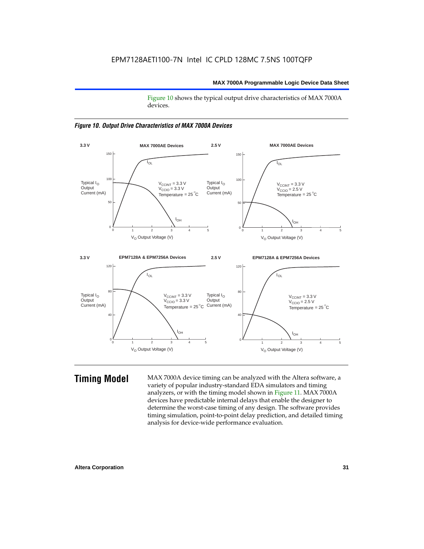Figure 10 shows the typical output drive characteristics of MAX 7000A devices.





**Timing Model** MAX 7000A device timing can be analyzed with the Altera software, a variety of popular industry-standard EDA simulators and timing analyzers, or with the timing model shown in Figure 11. MAX 7000A devices have predictable internal delays that enable the designer to determine the worst-case timing of any design. The software provides timing simulation, point-to-point delay prediction, and detailed timing analysis for device-wide performance evaluation.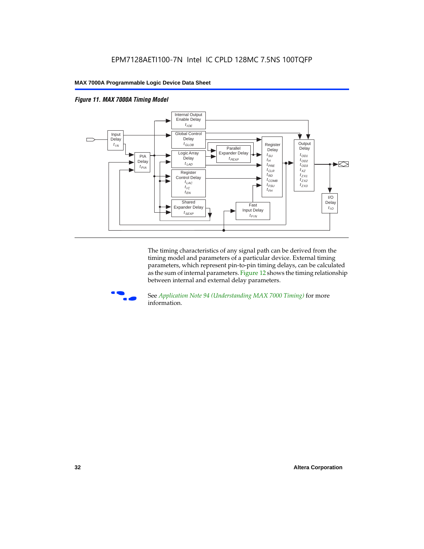



The timing characteristics of any signal path can be derived from the timing model and parameters of a particular device. External timing parameters, which represent pin-to-pin timing delays, can be calculated as the sum of internal parameters. Figure 12 shows the timing relationship between internal and external delay parameters.



f See *Application Note 94 (Understanding MAX 7000 Timing)* for more information.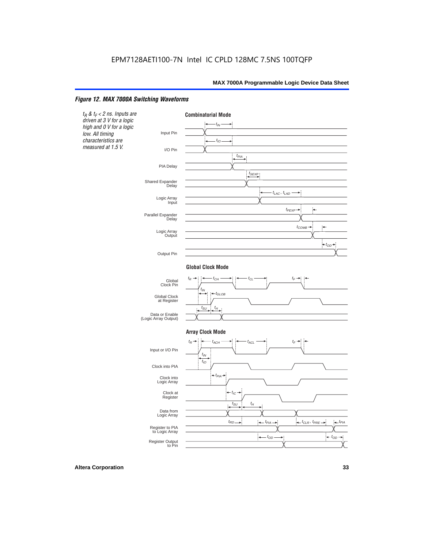#### *Figure 12. MAX 7000A Switching Waveforms*

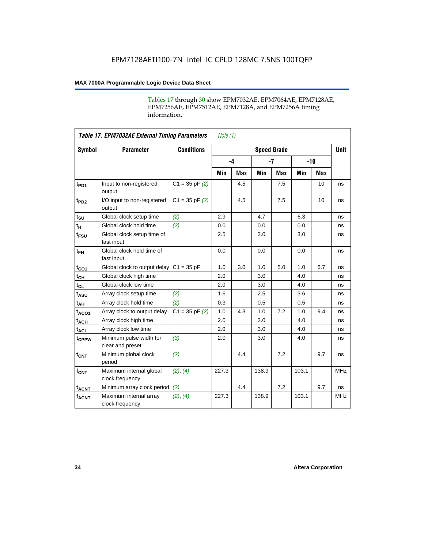Tables 17 through 30 show EPM7032AE, EPM7064AE, EPM7128AE, EPM7256AE, EPM7512AE, EPM7128A, and EPM7256A timing information.

|                  | <b>Table 17. EPM7032AE External Timing Parameters</b><br>Note $(1)$ |                    |       |            |                    |            |       |     |             |
|------------------|---------------------------------------------------------------------|--------------------|-------|------------|--------------------|------------|-------|-----|-------------|
| Symbol           | <b>Parameter</b>                                                    | <b>Conditions</b>  |       |            | <b>Speed Grade</b> |            |       |     | <b>Unit</b> |
|                  |                                                                     |                    |       | $-4$       | $-7$               |            | $-10$ |     |             |
|                  |                                                                     |                    | Min   | <b>Max</b> | Min                | <b>Max</b> | Min   | Max |             |
| t <sub>PD1</sub> | Input to non-registered<br>output                                   | $C1 = 35$ pF $(2)$ |       | 4.5        |                    | 7.5        |       | 10  | ns          |
| t <sub>PD2</sub> | I/O input to non-registered<br>output                               | $C1 = 35 pF(2)$    |       | 4.5        |                    | 7.5        |       | 10  | ns          |
| $t_{\text{SU}}$  | Global clock setup time                                             | (2)                | 2.9   |            | 4.7                |            | 6.3   |     | ns          |
| $t_H$            | Global clock hold time                                              | (2)                | 0.0   |            | 0.0                |            | 0.0   |     | ns          |
| t <sub>FSU</sub> | Global clock setup time of<br>fast input                            |                    | 2.5   |            | 3.0                |            | 3.0   |     | ns          |
| $t_{FH}$         | Global clock hold time of<br>fast input                             |                    | 0.0   |            | 0.0                |            | 0.0   |     | ns          |
| $t_{CO1}$        | Global clock to output delay                                        | $C1 = 35 pF$       | 1.0   | 3.0        | 1.0                | 5.0        | 1.0   | 6.7 | ns          |
| $t_{CH}$         | Global clock high time                                              |                    | 2.0   |            | 3.0                |            | 4.0   |     | ns          |
| $t_{CL}$         | Global clock low time                                               |                    | 2.0   |            | 3.0                |            | 4.0   |     | ns          |
| $t_{ASU}$        | Array clock setup time                                              | (2)                | 1.6   |            | 2.5                |            | 3.6   |     | ns          |
| t <sub>AH</sub>  | Array clock hold time                                               | (2)                | 0.3   |            | 0.5                |            | 0.5   |     | ns          |
| $t_{ACO1}$       | Array clock to output delay                                         | $C1 = 35 pF(2)$    | 1.0   | 4.3        | 1.0                | 7.2        | 1.0   | 9.4 | ns          |
| $t_{ACH}$        | Array clock high time                                               |                    | 2.0   |            | 3.0                |            | 4.0   |     | ns          |
| $t_{ACL}$        | Array clock low time                                                |                    | 2.0   |            | 3.0                |            | 4.0   |     | ns          |
| tcppw            | Minimum pulse width for<br>clear and preset                         | (3)                | 2.0   |            | 3.0                |            | 4.0   |     | ns          |
| $t_{\text{CNT}}$ | Minimum global clock<br>period                                      | (2)                |       | 4.4        |                    | 7.2        |       | 9.7 | ns          |
| $f_{CNT}$        | Maximum internal global<br>clock frequency                          | (2), (4)           | 227.3 |            | 138.9              |            | 103.1 |     | <b>MHz</b>  |
| $t_{ACNT}$       | Minimum array clock period                                          | (2)                |       | 4.4        |                    | 7.2        |       | 9.7 | ns          |
| <b>fACNT</b>     | Maximum internal array<br>clock frequency                           | (2), (4)           | 227.3 |            | 138.9              |            | 103.1 |     | <b>MHz</b>  |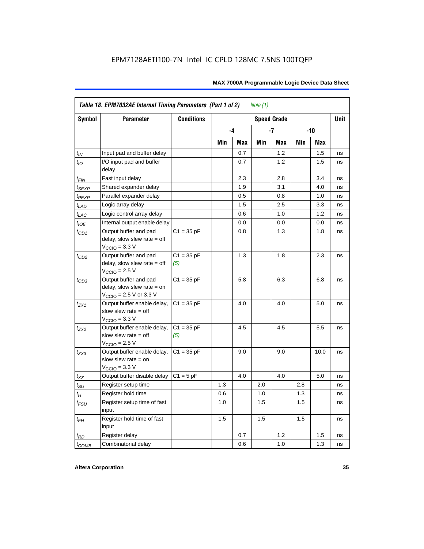|                    | Table 18. EPM7032AE Internal Timing Parameters (Part 1 of 2)<br>Note $(1)$                                   |                     |     |     |     |                    |     |      |             |
|--------------------|--------------------------------------------------------------------------------------------------------------|---------------------|-----|-----|-----|--------------------|-----|------|-------------|
| <b>Symbol</b>      | <b>Parameter</b>                                                                                             | <b>Conditions</b>   |     |     |     | <b>Speed Grade</b> |     |      | <b>Unit</b> |
|                    |                                                                                                              | -4                  |     | -7  |     | -10                |     |      |             |
|                    |                                                                                                              |                     | Min | Max | Min | Max                | Min | Max  |             |
| $t_{IN}$           | Input pad and buffer delay                                                                                   |                     |     | 0.7 |     | 1.2                |     | 1.5  | ns          |
| $t_{IO}$           | I/O input pad and buffer<br>delay                                                                            |                     |     | 0.7 |     | 1.2                |     | 1.5  | ns          |
| $t_{\sf FIN}$      | Fast input delay                                                                                             |                     |     | 2.3 |     | 2.8                |     | 3.4  | ns          |
| $t_{SEXP}$         | Shared expander delay                                                                                        |                     |     | 1.9 |     | 3.1                |     | 4.0  | ns          |
| t <sub>PEXP</sub>  | Parallel expander delay                                                                                      |                     |     | 0.5 |     | 0.8                |     | 1.0  | ns          |
| $t_{LAD}$          | Logic array delay                                                                                            |                     |     | 1.5 |     | 2.5                |     | 3.3  | ns          |
| $t_{LAC}$          | Logic control array delay                                                                                    |                     |     | 0.6 |     | 1.0                |     | 1.2  | ns          |
| $t_{IOE}$          | Internal output enable delay                                                                                 |                     |     | 0.0 |     | 0.0                |     | 0.0  | ns          |
| $t_{OD1}$          | Output buffer and pad<br>delay, slow slew rate $=$ off<br>$V_{\text{CCIO}} = 3.3 \text{ V}$                  | $C1 = 35 pF$        |     | 0.8 |     | 1.3                |     | 1.8  | ns          |
| $t_{OD2}$          | Output buffer and pad<br>delay, slow slew rate $=$ off<br>$V_{\text{CCIO}}$ = 2.5 V                          | $C1 = 35 pF$<br>(5) |     | 1.3 |     | 1.8                |     | 2.3  | ns          |
| $t_{OD3}$          | Output buffer and pad<br>delay, slow slew rate $=$ on<br>$V_{\text{CCIO}} = 2.5 \text{ V or } 3.3 \text{ V}$ | $C1 = 35 pF$        |     | 5.8 |     | 6.3                |     | 6.8  | ns          |
| $t_{ZX1}$          | Output buffer enable delay,<br>slow slew rate $=$ off<br>$V_{\text{CCIO}} = 3.3 \text{ V}$                   | $C1 = 35 pF$        |     | 4.0 |     | 4.0                |     | 5.0  | ns          |
| $t_{ZX2}$          | Output buffer enable delay,<br>slow slew rate $=$ off<br>$V_{\text{CCIO}}$ = 2.5 V                           | $C1 = 35 pF$<br>(5) |     | 4.5 |     | 4.5                |     | 5.5  | ns          |
| $t_{ZX3}$          | Output buffer enable delay,<br>slow slew rate $=$ on<br>$V_{\text{CCIO}} = 3.3 \text{ V}$                    | $C1 = 35 pF$        |     | 9.0 |     | 9.0                |     | 10.0 | ns          |
| $t_{\mathsf{XZ}}$  | Output buffer disable delay                                                                                  | $C1 = 5pF$          |     | 4.0 |     | 4.0                |     | 5.0  | ns          |
| $t_{\text{SU}}$    | Register setup time                                                                                          |                     | 1.3 |     | 2.0 |                    | 2.8 |      | ns          |
| $t_H$              | Register hold time                                                                                           |                     | 0.6 |     | 1.0 |                    | 1.3 |      | ns          |
| $t_{\mathit{FSU}}$ | Register setup time of fast<br>input                                                                         |                     | 1.0 |     | 1.5 |                    | 1.5 |      | ns          |
| $t_{FH}$           | Register hold time of fast<br>input                                                                          |                     | 1.5 |     | 1.5 |                    | 1.5 |      | ns          |
| $t_{RD}$           | Register delay                                                                                               |                     |     | 0.7 |     | 1.2                |     | 1.5  | ns          |
| $t_{COMB}$         | Combinatorial delay                                                                                          |                     |     | 0.6 |     | 1.0                |     | 1.3  | ns          |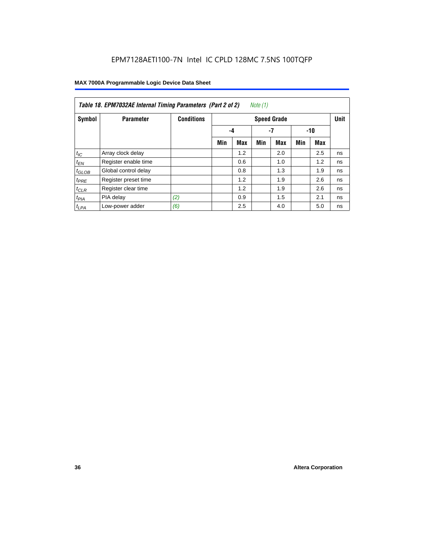| Table 18. EPM7032AE Internal Timing Parameters (Part 2 of 2)<br>Note (1) |                      |                   |     |                    |     |            |     |     |    |  |
|--------------------------------------------------------------------------|----------------------|-------------------|-----|--------------------|-----|------------|-----|-----|----|--|
| Symbol                                                                   | <b>Parameter</b>     | <b>Conditions</b> |     | <b>Speed Grade</b> |     |            |     |     |    |  |
|                                                                          |                      |                   |     | -4                 |     | -7         |     | -10 |    |  |
|                                                                          |                      |                   | Min | Max                | Min | <b>Max</b> | Min | Max |    |  |
| $t_{IC}$                                                                 | Array clock delay    |                   |     | 1.2                |     | 2.0        |     | 2.5 | ns |  |
| $t_{EN}$                                                                 | Register enable time |                   |     | 0.6                |     | 1.0        |     | 1.2 | ns |  |
| $t_{\text{GLOB}}$                                                        | Global control delay |                   |     | 0.8                |     | 1.3        |     | 1.9 | ns |  |
| $t_{PRE}$                                                                | Register preset time |                   |     | 1.2                |     | 1.9        |     | 2.6 | ns |  |
| $t_{CLR}$                                                                | Register clear time  |                   |     | 1.2                |     | 1.9        |     | 2.6 | ns |  |
| $t_{PIA}$                                                                | PIA delay            | (2)               |     | 0.9                |     | 1.5        |     | 2.1 | ns |  |
| $t_{LPA}$                                                                | Low-power adder      | (6)               |     | 2.5                |     | 4.0        |     | 5.0 | ns |  |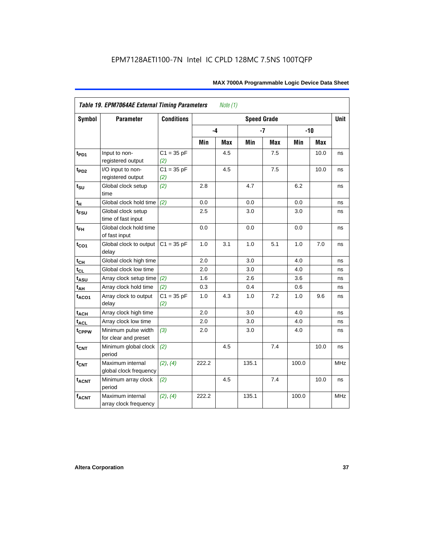| Symbol            | <b>Parameter</b>                            | <b>Conditions</b>   | <b>Speed Grade</b> |     |       |            |       |            |            |
|-------------------|---------------------------------------------|---------------------|--------------------|-----|-------|------------|-------|------------|------------|
|                   |                                             |                     | -4                 |     |       | $-7$       |       | $-10$      |            |
|                   |                                             |                     | Min                | Max | Min   | <b>Max</b> | Min   | <b>Max</b> |            |
| $t_{PD1}$         | Input to non-<br>registered output          | $C1 = 35 pF$<br>(2) |                    | 4.5 |       | 7.5        |       | 10.0       | ns         |
| t <sub>PD2</sub>  | I/O input to non-<br>registered output      | $C1 = 35 pF$<br>(2) |                    | 4.5 |       | 7.5        |       | 10.0       | ns         |
| $t_{\text{SU}}$   | Global clock setup<br>time                  | (2)                 | 2.8                |     | 4.7   |            | 6.2   |            | ns         |
| tμ                | Global clock hold time                      | (2)                 | 0.0                |     | 0.0   |            | 0.0   |            | ns         |
| $t_{FSU}$         | Global clock setup<br>time of fast input    |                     | 2.5                |     | 3.0   |            | 3.0   |            | ns         |
| $t_{FH}$          | Global clock hold time<br>of fast input     |                     | 0.0                |     | 0.0   |            | 0.0   |            | ns         |
| $t_{CO1}$         | Global clock to output<br>delay             | $C1 = 35 pF$        | 1.0                | 3.1 | 1.0   | 5.1        | 1.0   | 7.0        | ns         |
| $t_{CH}$          | Global clock high time                      |                     | 2.0                |     | 3.0   |            | 4.0   |            | ns         |
| $t_{CL}$          | Global clock low time                       |                     | 2.0                |     | 3.0   |            | 4.0   |            | ns         |
| t <sub>ASU</sub>  | Array clock setup time                      | (2)                 | 1.6                |     | 2.6   |            | 3.6   |            | ns         |
| $t_{AH}$          | Array clock hold time                       | (2)                 | 0.3                |     | 0.4   |            | 0.6   |            | ns         |
| t <sub>ACO1</sub> | Array clock to output<br>delay              | $C1 = 35 pF$<br>(2) | 1.0                | 4.3 | 1.0   | 7.2        | 1.0   | 9.6        | ns         |
| $t_{ACH}$         | Array clock high time                       |                     | 2.0                |     | 3.0   |            | 4.0   |            | ns         |
| t <sub>ACL</sub>  | Array clock low time                        |                     | 2.0                |     | 3.0   |            | 4.0   |            | ns         |
| t <sub>CPPW</sub> | Minimum pulse width<br>for clear and preset | (3)                 | 2.0                |     | 3.0   |            | 4.0   |            | ns         |
| $t_{CNT}$         | Minimum global clock<br>period              | (2)                 |                    | 4.5 |       | 7.4        |       | 10.0       | ns         |
| $f_{CNT}$         | Maximum internal<br>global clock frequency  | (2), (4)            | 222.2              |     | 135.1 |            | 100.0 |            | <b>MHz</b> |
| $t_{ACNT}$        | Minimum array clock<br>period               | (2)                 |                    | 4.5 |       | 7.4        |       | 10.0       | ns         |
| <b>fACNT</b>      | Maximum internal<br>array clock frequency   | (2), (4)            | 222.2              |     | 135.1 |            | 100.0 |            | <b>MHz</b> |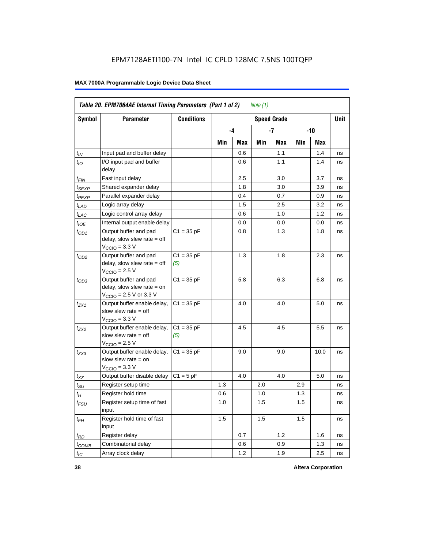| Table 20. EPM7064AE Internal Timing Parameters (Part 1 of 2)<br>Note $(1)$ |                                                                                                              |                     |     |      |     |                    |     |       |             |  |  |
|----------------------------------------------------------------------------|--------------------------------------------------------------------------------------------------------------|---------------------|-----|------|-----|--------------------|-----|-------|-------------|--|--|
| <b>Symbol</b>                                                              | <b>Parameter</b>                                                                                             | <b>Conditions</b>   |     |      |     | <b>Speed Grade</b> |     |       | <b>Unit</b> |  |  |
|                                                                            |                                                                                                              |                     |     | $-4$ |     | -7                 |     | $-10$ |             |  |  |
|                                                                            |                                                                                                              |                     | Min | Max  | Min | Max                | Min | Max   |             |  |  |
| $t_{IN}$                                                                   | Input pad and buffer delay                                                                                   |                     |     | 0.6  |     | 1.1                |     | 1.4   | ns          |  |  |
| $t_{IO}$                                                                   | I/O input pad and buffer<br>delay                                                                            |                     |     | 0.6  |     | 1.1                |     | 1.4   | ns          |  |  |
| $t_{FIN}$                                                                  | Fast input delay                                                                                             |                     |     | 2.5  |     | 3.0                |     | 3.7   | ns          |  |  |
| t <sub>SEXP</sub>                                                          | Shared expander delay                                                                                        |                     |     | 1.8  |     | 3.0                |     | 3.9   | ns          |  |  |
| t <sub>PEXP</sub>                                                          | Parallel expander delay                                                                                      |                     |     | 0.4  |     | 0.7                |     | 0.9   | ns          |  |  |
| $t_{LAD}$                                                                  | Logic array delay                                                                                            |                     |     | 1.5  |     | 2.5                |     | 3.2   | ns          |  |  |
| $t_{LAC}$                                                                  | Logic control array delay                                                                                    |                     |     | 0.6  |     | 1.0                |     | 1.2   | ns          |  |  |
| $t_{IOE}$                                                                  | Internal output enable delay                                                                                 |                     |     | 0.0  |     | 0.0                |     | 0.0   | ns          |  |  |
| $t_{OD1}$                                                                  | Output buffer and pad<br>delay, slow slew rate $=$ off<br>$V_{\text{CCIO}} = 3.3 \text{ V}$                  | $C1 = 35 pF$        |     | 0.8  |     | 1.3                |     | 1.8   | ns          |  |  |
| $t_{OD2}$                                                                  | Output buffer and pad<br>delay, slow slew rate $=$ off<br>$V_{\text{CCIO}}$ = 2.5 V                          | $C1 = 35 pF$<br>(5) |     | 1.3  |     | 1.8                |     | 2.3   | ns          |  |  |
| $t_{OD3}$                                                                  | Output buffer and pad<br>delay, slow slew rate $=$ on<br>$V_{\text{CCIO}} = 2.5 \text{ V or } 3.3 \text{ V}$ | $C1 = 35 pF$        |     | 5.8  |     | 6.3                |     | 6.8   | ns          |  |  |
| $t_{ZX1}$                                                                  | Output buffer enable delay,<br>slow slew rate $=$ off<br>$V_{\text{CCIO}} = 3.3 \text{ V}$                   | $C1 = 35 pF$        |     | 4.0  |     | 4.0                |     | 5.0   | ns          |  |  |
| $t_{ZX2}$                                                                  | Output buffer enable delay,<br>slow slew rate $=$ off<br>$V_{\text{CCIO}} = 2.5 V$                           | $C1 = 35 pF$<br>(5) |     | 4.5  |     | 4.5                |     | 5.5   | ns          |  |  |
| $t_{ZX3}$                                                                  | Output buffer enable delay,<br>slow slew rate $=$ on<br>$V_{\text{CCIO}} = 3.3 \text{ V}$                    | $C1 = 35 pF$        |     | 9.0  |     | 9.0                |     | 10.0  | ns          |  |  |
| $t_{XZ}$                                                                   | Output buffer disable delay                                                                                  | $C1 = 5pF$          |     | 4.0  |     | 4.0                |     | 5.0   | ns          |  |  |
| $t_{\text{SU}}$                                                            | Register setup time                                                                                          |                     | 1.3 |      | 2.0 |                    | 2.9 |       | ns          |  |  |
| $t_H$                                                                      | Register hold time                                                                                           |                     | 0.6 |      | 1.0 |                    | 1.3 |       | ns          |  |  |
| $t_{FSU}$                                                                  | Register setup time of fast<br>input                                                                         |                     | 1.0 |      | 1.5 |                    | 1.5 |       | ns          |  |  |
| $t_{FH}$                                                                   | Register hold time of fast<br>input                                                                          |                     | 1.5 |      | 1.5 |                    | 1.5 |       | ns          |  |  |
| $t_{RD}$                                                                   | Register delay                                                                                               |                     |     | 0.7  |     | 1.2                |     | 1.6   | ns          |  |  |
| $t_{COMB}$                                                                 | Combinatorial delay                                                                                          |                     |     | 0.6  |     | 0.9                |     | 1.3   | ns          |  |  |
| $t_{IC}$                                                                   | Array clock delay                                                                                            |                     |     | 1.2  |     | 1.9                |     | 2.5   | ns          |  |  |

**38 Altera Corporation**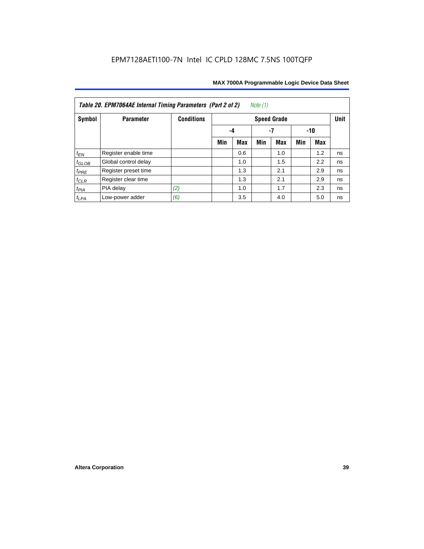| Note $(1)$<br>Table 20. EPM7064AE Internal Timing Parameters (Part 2 of 2) |                      |                   |     |     |     |                    |     |     |             |  |  |
|----------------------------------------------------------------------------|----------------------|-------------------|-----|-----|-----|--------------------|-----|-----|-------------|--|--|
| Symbol                                                                     | <b>Parameter</b>     | <b>Conditions</b> |     |     |     | <b>Speed Grade</b> |     |     | <b>Unit</b> |  |  |
|                                                                            |                      |                   | -4  | -10 |     |                    |     |     |             |  |  |
|                                                                            |                      |                   | Min | Max | Min | <b>Max</b>         | Min | Max |             |  |  |
| $t_{EN}$                                                                   | Register enable time |                   |     | 0.6 |     | 1.0                |     | 1.2 | ns          |  |  |
| $t_{GLOB}$                                                                 | Global control delay |                   |     | 1.0 |     | 1.5                |     | 2.2 | ns          |  |  |
| $t_{PRE}$                                                                  | Register preset time |                   |     | 1.3 |     | 2.1                |     | 2.9 | ns          |  |  |
| $t_{CLR}$                                                                  | Register clear time  |                   |     | 1.3 |     | 2.1                |     | 2.9 | ns          |  |  |
| $t_{PIA}$                                                                  | PIA delay            | (2)               |     | 1.0 |     | 1.7                |     | 2.3 | ns          |  |  |
| $t_{LPA}$                                                                  | Low-power adder      | (6)               |     | 3.5 |     | 4.0                |     | 5.0 | ns          |  |  |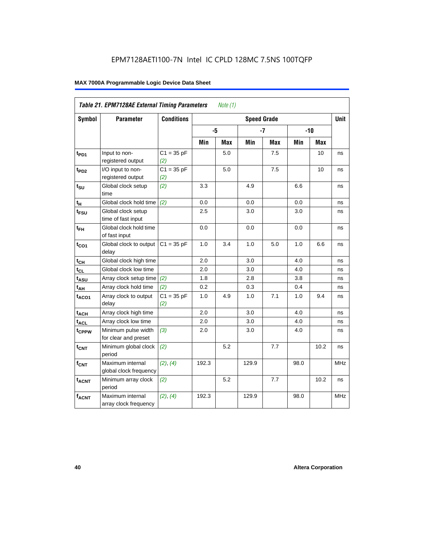| Table 21. EPM7128AE External Timing Parameters<br>Note $(1)$ |                                             |                     |       |            |                    |            |            |            |            |  |
|--------------------------------------------------------------|---------------------------------------------|---------------------|-------|------------|--------------------|------------|------------|------------|------------|--|
| Symbol                                                       | <b>Parameter</b>                            | <b>Conditions</b>   |       |            | <b>Speed Grade</b> |            |            |            | Unit       |  |
|                                                              |                                             |                     | -5    |            |                    | $-7$       |            | $-10$      |            |  |
|                                                              |                                             |                     | Min   | <b>Max</b> | Min                | <b>Max</b> | <b>Min</b> | <b>Max</b> |            |  |
| t <sub>PD1</sub>                                             | Input to non-<br>registered output          | $C1 = 35 pF$<br>(2) |       | 5.0        |                    | 7.5        |            | 10         | ns         |  |
| t <sub>PD2</sub>                                             | I/O input to non-<br>registered output      | $C1 = 35 pF$<br>(2) |       | 5.0        |                    | 7.5        |            | 10         | ns         |  |
| $t_{\text{SU}}$                                              | Global clock setup<br>time                  | (2)                 | 3.3   |            | 4.9                |            | 6.6        |            | ns         |  |
| $t_H$                                                        | Global clock hold time                      | (2)                 | 0.0   |            | 0.0                |            | 0.0        |            | ns         |  |
| t <sub>FSU</sub>                                             | Global clock setup<br>time of fast input    |                     | 2.5   |            | 3.0                |            | 3.0        |            | ns         |  |
| $t_{FH}$                                                     | Global clock hold time<br>of fast input     |                     | 0.0   |            | 0.0                |            | 0.0        |            | ns         |  |
| $t_{CO1}$                                                    | Global clock to output<br>delay             | $C1 = 35 pF$        | 1.0   | 3.4        | 1.0                | 5.0        | 1.0        | 6.6        | ns         |  |
| $t_{CH}$                                                     | Global clock high time                      |                     | 2.0   |            | 3.0                |            | 4.0        |            | ns         |  |
| $t_{CL}$                                                     | Global clock low time                       |                     | 2.0   |            | 3.0                |            | 4.0        |            | ns         |  |
| $t_{ASU}$                                                    | Array clock setup time                      | (2)                 | 1.8   |            | 2.8                |            | 3.8        |            | ns         |  |
| $t_{AH}$                                                     | Array clock hold time                       | (2)                 | 0.2   |            | 0.3                |            | 0.4        |            | ns         |  |
| $t_{ACO1}$                                                   | Array clock to output<br>delay              | $C1 = 35 pF$<br>(2) | 1.0   | 4.9        | 1.0                | 7.1        | 1.0        | 9.4        | ns         |  |
| $t_{ACH}$                                                    | Array clock high time                       |                     | 2.0   |            | 3.0                |            | 4.0        |            | ns         |  |
| t <sub>ACL</sub>                                             | Array clock low time                        |                     | 2.0   |            | 3.0                |            | 4.0        |            | ns         |  |
| t <sub>CPPW</sub>                                            | Minimum pulse width<br>for clear and preset | (3)                 | 2.0   |            | 3.0                |            | 4.0        |            | ns         |  |
| $t_{\text{CNT}}$                                             | Minimum global clock<br>period              | (2)                 |       | 5.2        |                    | 7.7        |            | 10.2       | ns         |  |
| $f_{CNT}$                                                    | Maximum internal<br>global clock frequency  | (2), (4)            | 192.3 |            | 129.9              |            | 98.0       |            | <b>MHz</b> |  |
| $t_{ACNT}$                                                   | Minimum array clock<br>period               | (2)                 |       | 5.2        |                    | 7.7        |            | 10.2       | ns         |  |
| <b>fACNT</b>                                                 | Maximum internal<br>array clock frequency   | (2), (4)            | 192.3 |            | 129.9              |            | 98.0       |            | <b>MHz</b> |  |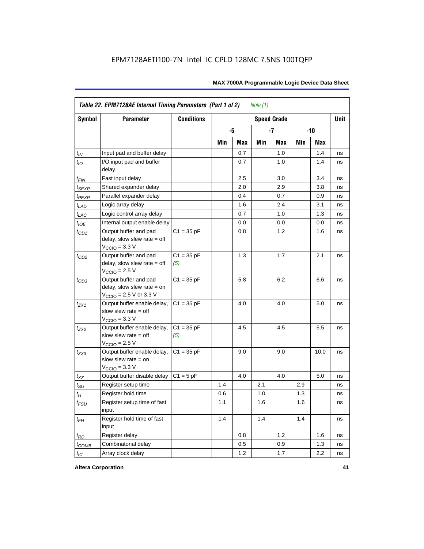|                    | Table 22. EPM7128AE Internal Timing Parameters (Part 1 of 2)<br>Note $(1)$                  |                     |     |     |     |                    |     |       |             |  |  |  |
|--------------------|---------------------------------------------------------------------------------------------|---------------------|-----|-----|-----|--------------------|-----|-------|-------------|--|--|--|
| Symbol             | <b>Parameter</b>                                                                            | <b>Conditions</b>   |     |     |     | <b>Speed Grade</b> |     |       | <b>Unit</b> |  |  |  |
|                    |                                                                                             |                     |     | -5  |     | $-7$               |     | $-10$ |             |  |  |  |
|                    |                                                                                             |                     | Min | Max | Min | Max                | Min | Max   |             |  |  |  |
| $t_{IN}$           | Input pad and buffer delay                                                                  |                     |     | 0.7 |     | 1.0                |     | 1.4   | ns          |  |  |  |
| $t_{IO}$           | I/O input pad and buffer<br>delay                                                           |                     |     | 0.7 |     | $1.0\,$            |     | 1.4   | ns          |  |  |  |
| $t_{\mathsf{FIN}}$ | Fast input delay                                                                            |                     |     | 2.5 |     | 3.0                |     | 3.4   | ns          |  |  |  |
| $t_{SEXP}$         | Shared expander delay                                                                       |                     |     | 2.0 |     | 2.9                |     | 3.8   | ns          |  |  |  |
| $t_{PEXP}$         | Parallel expander delay                                                                     |                     |     | 0.4 |     | 0.7                |     | 0.9   | ns          |  |  |  |
| $t_{LAD}$          | Logic array delay                                                                           |                     |     | 1.6 |     | 2.4                |     | 3.1   | ns          |  |  |  |
| $t_{LAC}$          | Logic control array delay                                                                   |                     |     | 0.7 |     | 1.0                |     | 1.3   | ns          |  |  |  |
| $t_{IOE}$          | Internal output enable delay                                                                |                     |     | 0.0 |     | 0.0                |     | 0.0   | ns          |  |  |  |
| $t_{OD1}$          | Output buffer and pad<br>delay, slow slew rate $=$ off<br>$V_{\text{CCIO}} = 3.3 \text{ V}$ | $C1 = 35 pF$        |     | 0.8 |     | 1.2                |     | 1.6   | ns          |  |  |  |
| $t_{OD2}$          | Output buffer and pad<br>delay, slow slew rate $=$ off<br>$V_{\text{CCIO}}$ = 2.5 V         | $C1 = 35 pF$<br>(5) |     | 1.3 |     | 1.7                |     | 2.1   | ns          |  |  |  |
| $t_{OD3}$          | Output buffer and pad<br>delay, slow slew rate $=$ on<br>$V_{\text{CCIO}}$ = 2.5 V or 3.3 V | $C1 = 35 pF$        |     | 5.8 |     | 6.2                |     | 6.6   | ns          |  |  |  |
| $t_{ZX1}$          | Output buffer enable delay,<br>slow slew rate $=$ off<br>$V_{\text{CCIO}} = 3.3 \text{ V}$  | $C1 = 35 pF$        |     | 4.0 |     | 4.0                |     | 5.0   | ns          |  |  |  |
| $t_{7X2}$          | Output buffer enable delay,<br>slow slew rate $=$ off<br>$V_{\text{CCIO}} = 2.5 V$          | $C1 = 35 pF$<br>(5) |     | 4.5 |     | 4.5                |     | 5.5   | ns          |  |  |  |
| $t_{ZX3}$          | Output buffer enable delay,<br>slow slew rate $=$ on<br>$V_{\text{CCIO}} = 3.3 \text{ V}$   | $C1 = 35 pF$        |     | 9.0 |     | 9.0                |     | 10.0  | ns          |  |  |  |
| $t_{XZ}$           | Output buffer disable delay                                                                 | $C1 = 5pF$          |     | 4.0 |     | 4.0                |     | 5.0   | ns          |  |  |  |
| $t_{\text{SU}}$    | Register setup time                                                                         |                     | 1.4 |     | 2.1 |                    | 2.9 |       | ns          |  |  |  |
| $t_H$              | Register hold time                                                                          |                     | 0.6 |     | 1.0 |                    | 1.3 |       | ns          |  |  |  |
| $t_{FSU}$          | Register setup time of fast<br>input                                                        |                     | 1.1 |     | 1.6 |                    | 1.6 |       | ns          |  |  |  |
| $t_{FH}$           | Register hold time of fast<br>input                                                         |                     | 1.4 |     | 1.4 |                    | 1.4 |       | ns          |  |  |  |
| $t_{RD}$           | Register delay                                                                              |                     |     | 0.8 |     | 1.2                |     | 1.6   | ns          |  |  |  |
| $t_{COMB}$         | Combinatorial delay                                                                         |                     |     | 0.5 |     | 0.9                |     | 1.3   | ns          |  |  |  |
| $t_{IC}$           | Array clock delay                                                                           |                     |     | 1.2 |     | 1.7                |     | 2.2   | ns          |  |  |  |

**Altera Corporation 41**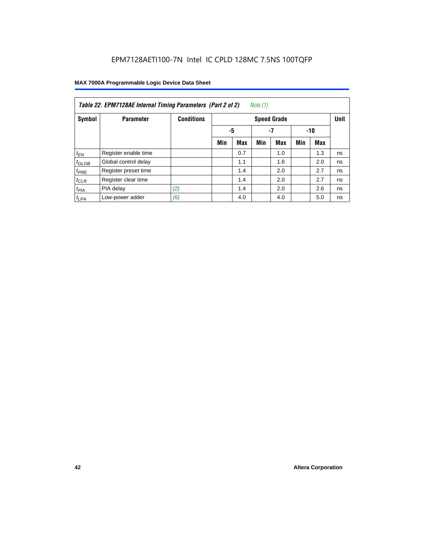| Note (1)<br>Table 22. EPM7128AE Internal Timing Parameters (Part 2 of 2) |                      |                   |     |                 |     |                    |     |            |             |  |  |
|--------------------------------------------------------------------------|----------------------|-------------------|-----|-----------------|-----|--------------------|-----|------------|-------------|--|--|
| Symbol                                                                   | <b>Parameter</b>     | <b>Conditions</b> |     |                 |     | <b>Speed Grade</b> |     |            | <b>Unit</b> |  |  |
|                                                                          |                      |                   |     | -5<br>-7<br>-10 |     |                    |     |            |             |  |  |
|                                                                          |                      |                   | Min | <b>Max</b>      | Min | <b>Max</b>         | Min | <b>Max</b> |             |  |  |
| $t_{EN}$                                                                 | Register enable time |                   |     | 0.7             |     | 1.0                |     | 1.3        | ns          |  |  |
| $t_{GLOB}$                                                               | Global control delay |                   |     | 1.1             |     | 1.6                |     | 2.0        | ns          |  |  |
| $t_{PRE}$                                                                | Register preset time |                   |     | 1.4             |     | 2.0                |     | 2.7        | ns          |  |  |
| $t_{CLR}$                                                                | Register clear time  |                   |     | 1.4             |     | 2.0                |     | 2.7        | ns          |  |  |
| $t_{PIA}$                                                                | PIA delay            | (2)               |     | 1.4             |     | 2.0                |     | 2.6        | ns          |  |  |
| $t_{LPA}$                                                                | Low-power adder      | (6)               |     | 4.0             |     | 4.0                |     | 5.0        | ns          |  |  |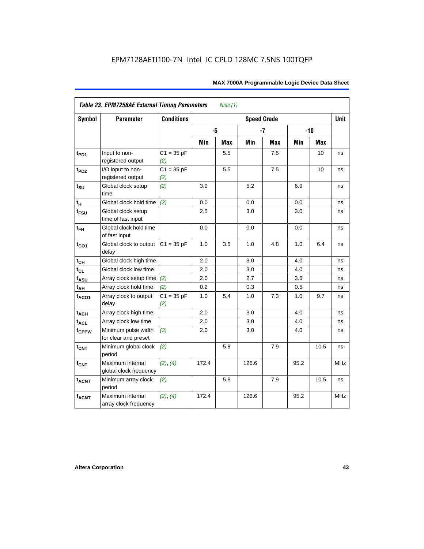| Symbol            | Table 23. EPM7256AE External Timing Parameters<br><b>Parameter</b> | <b>Conditions</b>   |       | Note $(1)$ | <b>Speed Grade</b> |            |      |        | <b>Unit</b> |
|-------------------|--------------------------------------------------------------------|---------------------|-------|------------|--------------------|------------|------|--------|-------------|
|                   |                                                                    |                     |       |            |                    |            |      |        |             |
|                   |                                                                    |                     |       | -5         |                    | $-7$       |      | $-10$  |             |
|                   |                                                                    |                     | Min   | Max        | Min                | <b>Max</b> | Min  | Max    |             |
| $t_{PD1}$         | Input to non-<br>registered output                                 | $C1 = 35 pF$<br>(2) |       | 5.5        |                    | 7.5        |      | 10     | ns          |
| t <sub>PD2</sub>  | I/O input to non-<br>registered output                             | $C1 = 35 pF$<br>(2) |       | 5.5        |                    | 7.5        |      | 10     | ns          |
| $t_{\text{SU}}$   | Global clock setup<br>time                                         | (2)                 | 3.9   |            | 5.2                |            | 6.9  |        | ns          |
| tμ                | Global clock hold time                                             | (2)                 | 0.0   |            | 0.0                |            | 0.0  |        | ns          |
| $t_{FSU}$         | Global clock setup<br>time of fast input                           |                     | 2.5   |            | 3.0                |            | 3.0  |        | ns          |
| $t_{FH}$          | Global clock hold time<br>of fast input                            |                     | 0.0   |            | 0.0                |            | 0.0  |        | ns          |
| $t_{CO1}$         | Global clock to output<br>delay                                    | $C1 = 35 pF$        | 1.0   | 3.5        | 1.0                | 4.8        | 1.0  | 6.4    | ns          |
| $t_{CH}$          | Global clock high time                                             |                     | 2.0   |            | 3.0                |            | 4.0  |        | ns          |
| $t_{CL}$          | Global clock low time                                              |                     | 2.0   |            | 3.0                |            | 4.0  |        | ns          |
| $t_{ASU}$         | Array clock setup time                                             | (2)                 | 2.0   |            | 2.7                |            | 3.6  |        | ns          |
| $t_{AH}$          | Array clock hold time                                              | (2)                 | 0.2   |            | 0.3                |            | 0.5  |        | ns          |
| t <sub>ACO1</sub> | Array clock to output<br>delay                                     | $C1 = 35 pF$<br>(2) | 1.0   | 5.4        | 1.0                | 7.3        | 1.0  | 9.7    | ns          |
| $t_{ACH}$         | Array clock high time                                              |                     | 2.0   |            | 3.0                |            | 4.0  |        | ns          |
| t <sub>ACL</sub>  | Array clock low time                                               |                     | 2.0   |            | 3.0                |            | 4.0  |        | ns          |
| t <sub>CPPW</sub> | Minimum pulse width<br>for clear and preset                        | (3)                 | 2.0   |            | 3.0                |            | 4.0  |        | ns          |
| $t_{CNT}$         | Minimum global clock<br>period                                     | (2)                 |       | 5.8        |                    | 7.9        |      | $10.5$ | ns          |
| $f_{CNT}$         | Maximum internal<br>global clock frequency                         | (2), (4)            | 172.4 |            | 126.6              |            | 95.2 |        | <b>MHz</b>  |
| $t_{ACNT}$        | Minimum array clock<br>period                                      | (2)                 |       | 5.8        |                    | 7.9        |      | 10.5   | ns          |
| <b>fACNT</b>      | Maximum internal<br>array clock frequency                          | (2), (4)            | 172.4 |            | 126.6              |            | 95.2 |        | <b>MHz</b>  |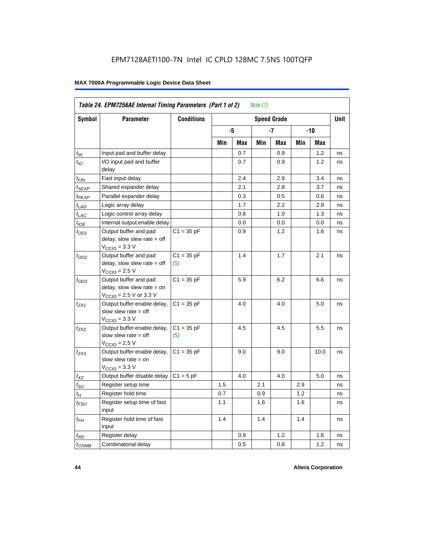| Symbol                      | <b>Parameter</b>                                                                                             | <b>Conditions</b>   |     |     |     | <b>Speed Grade</b> |     |      | <b>Unit</b> |
|-----------------------------|--------------------------------------------------------------------------------------------------------------|---------------------|-----|-----|-----|--------------------|-----|------|-------------|
|                             |                                                                                                              |                     |     | -5  |     | -7                 |     | -10  |             |
|                             |                                                                                                              |                     | Min | Max | Min | Max                | Min | Max  |             |
| $t_{IN}$                    | Input pad and buffer delay                                                                                   |                     |     | 0.7 |     | 0.9                |     | 1.2  | ns          |
| $t_{IO}$                    | I/O input pad and buffer<br>delay                                                                            |                     |     | 0.7 |     | 0.9                |     | 1.2  | ns          |
| t <sub>FIN</sub>            | Fast input delay                                                                                             |                     |     | 2.4 |     | 2.9                |     | 3.4  | ns          |
| $t_{SEXP}$                  | Shared expander delay                                                                                        |                     |     | 2.1 |     | 2.8                |     | 3.7  | ns          |
| t <sub>PEXP</sub>           | Parallel expander delay                                                                                      |                     |     | 0.3 |     | 0.5                |     | 0.6  | ns          |
| $t_{LAD}$                   | Logic array delay                                                                                            |                     |     | 1.7 |     | 2.2                |     | 2.8  | ns          |
| $t_{LAC}$                   | Logic control array delay                                                                                    |                     |     | 0.8 |     | 1.0                |     | 1.3  | ns          |
| $t_{IOE}$                   | Internal output enable delay                                                                                 |                     |     | 0.0 |     | 0.0                |     | 0.0  | ns          |
| $t_{OD1}$                   | Output buffer and pad<br>delay, slow slew rate $=$ off<br>$V_{\text{CCIO}} = 3.3 \text{ V}$                  | $C1 = 35 pF$        |     | 0.9 |     | 1.2                |     | 1.6  | ns          |
| $t_{OD2}$                   | Output buffer and pad<br>delay, slow slew rate $=$ off<br>$V_{\text{CCIO}}$ = 2.5 V                          | $C1 = 35 pF$<br>(5) |     | 1.4 |     | 1.7                |     | 2.1  | ns          |
| $t_{OD3}$                   | Output buffer and pad<br>delay, slow slew rate $=$ on<br>$V_{\text{CCIO}} = 2.5 \text{ V or } 3.3 \text{ V}$ | $C1 = 35 pF$        |     | 5.9 |     | 6.2                |     | 6.6  | ns          |
| t <sub>ZX1</sub>            | Output buffer enable delay,<br>slow slew rate $=$ off<br>$V_{\text{CCIO}} = 3.3 \text{ V}$                   | $C1 = 35 pF$        |     | 4.0 |     | 4.0                |     | 5.0  | ns          |
| t <sub>ZX2</sub>            | Output buffer enable delay,<br>slow slew rate $=$ off<br>$V_{\text{CCIO}} = 2.5 V$                           | $C1 = 35 pF$<br>(5) |     | 4.5 |     | 4.5                |     | 5.5  | ns          |
| $t_{ZX3}$                   | Output buffer enable delay,<br>slow slew rate $=$ on<br>$VCCIO = 3.3 V$                                      | $C1 = 35 pF$        |     | 9.0 |     | 9.0                |     | 10.0 | ns          |
| $t_{XZ}$                    | Output buffer disable delay                                                                                  | $C1 = 5pF$          |     | 4.0 |     | 4.0                |     | 5.0  | ns          |
| $t_{\scriptstyle\text{SU}}$ | Register setup time                                                                                          |                     | 1.5 |     | 2.1 |                    | 2.9 |      | ns          |
| $t_H$                       | Register hold time                                                                                           |                     | 0.7 |     | 0.9 |                    | 1.2 |      | ns          |
| $t_{\it FSU}$               | Register setup time of fast<br>input                                                                         |                     | 1.1 |     | 1.6 |                    | 1.6 |      | ns          |
| $t_{FH}$                    | Register hold time of fast<br>input                                                                          |                     | 1.4 |     | 1.4 |                    | 1.4 |      | ns          |
| $t_{RD}$                    | Register delay                                                                                               |                     |     | 0.9 |     | 1.2                |     | 1.6  | ns          |
| $t_{\text{COMB}}$           | Combinatorial delay                                                                                          |                     |     | 0.5 |     | 0.8                |     | 1.2  | ns          |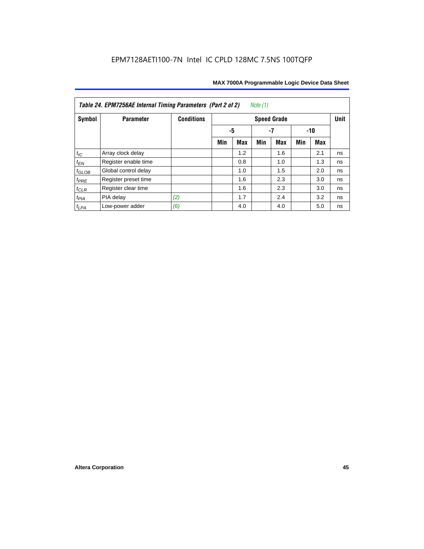| Table 24. EPM7256AE Internal Timing Parameters (Part 2 of 2)<br>Note (1) |                      |                   |                   |     |     |                    |     |     |             |  |
|--------------------------------------------------------------------------|----------------------|-------------------|-------------------|-----|-----|--------------------|-----|-----|-------------|--|
| Symbol                                                                   | <b>Parameter</b>     | <b>Conditions</b> |                   |     |     | <b>Speed Grade</b> |     |     | <b>Unit</b> |  |
|                                                                          |                      |                   | -5<br>-7<br>$-10$ |     |     |                    |     |     |             |  |
|                                                                          |                      |                   | Min               | Max | Min | Max                | Min | Max |             |  |
| $t_{\mathit{IC}}$                                                        | Array clock delay    |                   |                   | 1.2 |     | 1.6                |     | 2.1 | ns          |  |
| $t_{EN}$                                                                 | Register enable time |                   |                   | 0.8 |     | 1.0                |     | 1.3 | ns          |  |
| $t_{GLOB}$                                                               | Global control delay |                   |                   | 1.0 |     | 1.5                |     | 2.0 | ns          |  |
| $t_{PRE}$                                                                | Register preset time |                   |                   | 1.6 |     | 2.3                |     | 3.0 | ns          |  |
| $t_{CLR}$                                                                | Register clear time  |                   |                   | 1.6 |     | 2.3                |     | 3.0 | ns          |  |
| $t_{PIA}$                                                                | PIA delay            | (2)               |                   | 1.7 |     | 2.4                |     | 3.2 | ns          |  |
| $t_{LPA}$                                                                | Low-power adder      | (6)               |                   | 4.0 |     | 4.0                |     | 5.0 | ns          |  |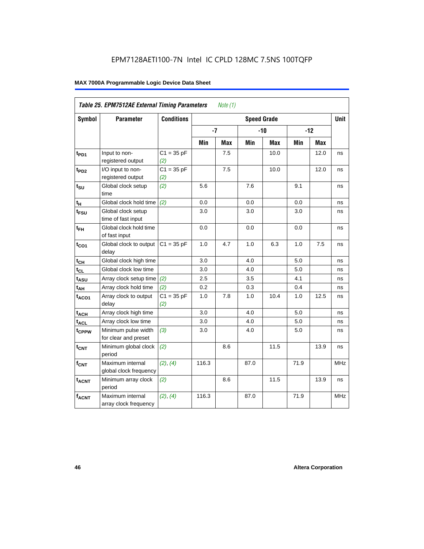| Table 25. EPM7512AE External Timing Parameters<br>Note $(1)$ |                                             |                     |       |            |                    |            |      |            |            |  |  |
|--------------------------------------------------------------|---------------------------------------------|---------------------|-------|------------|--------------------|------------|------|------------|------------|--|--|
| Symbol                                                       | <b>Parameter</b>                            | <b>Conditions</b>   |       |            | <b>Speed Grade</b> |            |      |            | Unit       |  |  |
|                                                              |                                             |                     | $-7$  |            |                    | $-10$      |      | $-12$      |            |  |  |
|                                                              |                                             |                     | Min   | <b>Max</b> | Min                | <b>Max</b> | Min  | <b>Max</b> |            |  |  |
| t <sub>PD1</sub>                                             | Input to non-<br>registered output          | $C1 = 35 pF$<br>(2) |       | 7.5        |                    | 10.0       |      | 12.0       | ns         |  |  |
| t <sub>PD2</sub>                                             | I/O input to non-<br>registered output      | $C1 = 35 pF$<br>(2) |       | 7.5        |                    | 10.0       |      | 12.0       | ns         |  |  |
| $t_{\text{SU}}$                                              | Global clock setup<br>time                  | (2)                 | 5.6   |            | 7.6                |            | 9.1  |            | ns         |  |  |
| tμ                                                           | Global clock hold time                      | (2)                 | 0.0   |            | 0.0                |            | 0.0  |            | ns         |  |  |
| t <sub>FSU</sub>                                             | Global clock setup<br>time of fast input    |                     | 3.0   |            | 3.0                |            | 3.0  |            | ns         |  |  |
| $t_{FH}$                                                     | Global clock hold time<br>of fast input     |                     | 0.0   |            | 0.0                |            | 0.0  |            | ns         |  |  |
| $t_{CO1}$                                                    | Global clock to output<br>delay             | $C1 = 35 pF$        | 1.0   | 4.7        | 1.0                | 6.3        | 1.0  | 7.5        | ns         |  |  |
| $t_{CH}$                                                     | Global clock high time                      |                     | 3.0   |            | 4.0                |            | 5.0  |            | ns         |  |  |
| $t_{CL}$                                                     | Global clock low time                       |                     | 3.0   |            | 4.0                |            | 5.0  |            | ns         |  |  |
| $t_{ASU}$                                                    | Array clock setup time                      | (2)                 | 2.5   |            | 3.5                |            | 4.1  |            | ns         |  |  |
| $t_{AH}$                                                     | Array clock hold time                       | (2)                 | 0.2   |            | 0.3                |            | 0.4  |            | ns         |  |  |
| $t_{ACO1}$                                                   | Array clock to output<br>delay              | $C1 = 35 pF$<br>(2) | 1.0   | 7.8        | 1.0                | 10.4       | 1.0  | 12.5       | ns         |  |  |
| $t_{ACH}$                                                    | Array clock high time                       |                     | 3.0   |            | 4.0                |            | 5.0  |            | ns         |  |  |
| $t_{\text{ACL}}$                                             | Array clock low time                        |                     | 3.0   |            | 4.0                |            | 5.0  |            | ns         |  |  |
| t <sub>CPPW</sub>                                            | Minimum pulse width<br>for clear and preset | (3)                 | 3.0   |            | 4.0                |            | 5.0  |            | ns         |  |  |
| t <sub>CNT</sub>                                             | Minimum global clock<br>period              | (2)                 |       | 8.6        |                    | 11.5       |      | 13.9       | ns         |  |  |
| $f_{CNT}$                                                    | Maximum internal<br>global clock frequency  | (2), (4)            | 116.3 |            | 87.0               |            | 71.9 |            | <b>MHz</b> |  |  |
| $t_{ACNT}$                                                   | Minimum array clock<br>period               | (2)                 |       | 8.6        |                    | 11.5       |      | 13.9       | ns         |  |  |
| <b>fACNT</b>                                                 | Maximum internal<br>array clock frequency   | (2), (4)            | 116.3 |            | 87.0               |            | 71.9 |            | <b>MHz</b> |  |  |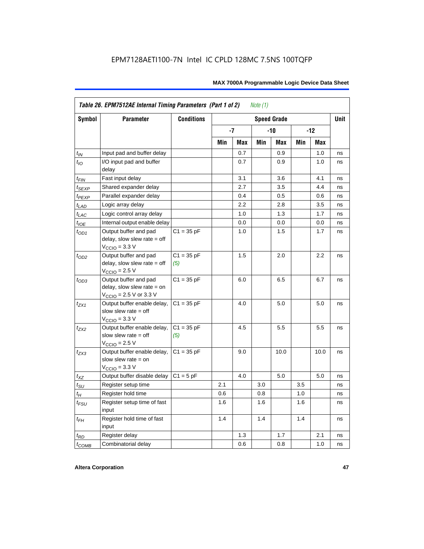|                    | Table 26. EPM7512AE Internal Timing Parameters (Part 1 of 2)<br>Note $(1)$                                   |                     |     |     |     |                    |     |       |             |  |  |
|--------------------|--------------------------------------------------------------------------------------------------------------|---------------------|-----|-----|-----|--------------------|-----|-------|-------------|--|--|
| Symbol             | <b>Parameter</b>                                                                                             | <b>Conditions</b>   |     |     |     | <b>Speed Grade</b> |     |       | <b>Unit</b> |  |  |
|                    |                                                                                                              |                     |     | -7  |     | -10                |     | $-12$ |             |  |  |
|                    |                                                                                                              |                     | Min | Max | Min | Max                | Min | Max   |             |  |  |
| $t_{IN}$           | Input pad and buffer delay                                                                                   |                     |     | 0.7 |     | 0.9                |     | 1.0   | ns          |  |  |
| $t_{IO}$           | I/O input pad and buffer<br>delay                                                                            |                     |     | 0.7 |     | 0.9                |     | 1.0   | ns          |  |  |
| $t_{\sf FIN}$      | Fast input delay                                                                                             |                     |     | 3.1 |     | 3.6                |     | 4.1   | ns          |  |  |
| $t_{SEXP}$         | Shared expander delay                                                                                        |                     |     | 2.7 |     | 3.5                |     | 4.4   | ns          |  |  |
| t <sub>PEXP</sub>  | Parallel expander delay                                                                                      |                     |     | 0.4 |     | 0.5                |     | 0.6   | ns          |  |  |
| $t_{LAD}$          | Logic array delay                                                                                            |                     |     | 2.2 |     | 2.8                |     | 3.5   | ns          |  |  |
| $t_{LAC}$          | Logic control array delay                                                                                    |                     |     | 1.0 |     | 1.3                |     | 1.7   | ns          |  |  |
| $t_{IOE}$          | Internal output enable delay                                                                                 |                     |     | 0.0 |     | 0.0                |     | 0.0   | ns          |  |  |
| $t_{OD1}$          | Output buffer and pad<br>delay, slow slew rate $=$ off<br>$V_{\text{CCIO}} = 3.3 \text{ V}$                  | $C1 = 35 pF$        |     | 1.0 |     | 1.5                |     | 1.7   | ns          |  |  |
| $t_{OD2}$          | Output buffer and pad<br>delay, slow slew rate $=$ off<br>$V_{\text{CCIO}}$ = 2.5 V                          | $C1 = 35 pF$<br>(5) |     | 1.5 |     | 2.0                |     | 2.2   | ns          |  |  |
| $t_{OD3}$          | Output buffer and pad<br>delay, slow slew rate $=$ on<br>$V_{\text{CCIO}} = 2.5 \text{ V or } 3.3 \text{ V}$ | $C1 = 35 pF$        |     | 6.0 |     | 6.5                |     | 6.7   | ns          |  |  |
| $t_{ZX1}$          | Output buffer enable delay,<br>slow slew rate $=$ off<br>$V_{\text{CCIO}} = 3.3 \text{ V}$                   | $C1 = 35 pF$        |     | 4.0 |     | 5.0                |     | 5.0   | ns          |  |  |
| $t_{ZX2}$          | Output buffer enable delay,<br>slow slew rate $=$ off<br>$V_{\text{CCIO}}$ = 2.5 V                           | $C1 = 35 pF$<br>(5) |     | 4.5 |     | 5.5                |     | 5.5   | ns          |  |  |
| $t_{ZX3}$          | Output buffer enable delay,<br>slow slew rate $=$ on<br>$V_{\text{CCIO}} = 3.3 \text{ V}$                    | $C1 = 35 pF$        |     | 9.0 |     | 10.0               |     | 10.0  | ns          |  |  |
| $t_{\mathsf{XZ}}$  | Output buffer disable delay                                                                                  | $C1 = 5pF$          |     | 4.0 |     | 5.0                |     | 5.0   | ns          |  |  |
| $t_{\text{SU}}$    | Register setup time                                                                                          |                     | 2.1 |     | 3.0 |                    | 3.5 |       | ns          |  |  |
| $t_H$              | Register hold time                                                                                           |                     | 0.6 |     | 0.8 |                    | 1.0 |       | ns          |  |  |
| $t_{\mathit{FSU}}$ | Register setup time of fast<br>input                                                                         |                     | 1.6 |     | 1.6 |                    | 1.6 |       | ns          |  |  |
| $t_{FH}$           | Register hold time of fast<br>input                                                                          |                     | 1.4 |     | 1.4 |                    | 1.4 |       | ns          |  |  |
| $t_{RD}$           | Register delay                                                                                               |                     |     | 1.3 |     | 1.7                |     | 2.1   | ns          |  |  |
| $t_{COMB}$         | Combinatorial delay                                                                                          |                     |     | 0.6 |     | 0.8                |     | 1.0   | ns          |  |  |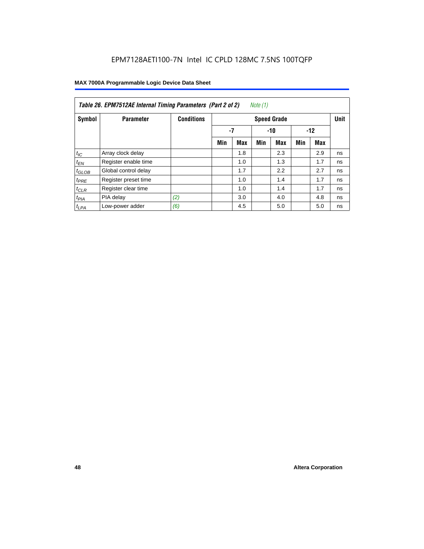| Table 26. EPM7512AE Internal Timing Parameters (Part 2 of 2)<br>Note (1) |                      |                   |     |            |     |                    |     |       |             |  |  |
|--------------------------------------------------------------------------|----------------------|-------------------|-----|------------|-----|--------------------|-----|-------|-------------|--|--|
| Symbol                                                                   | <b>Parameter</b>     | <b>Conditions</b> |     |            |     | <b>Speed Grade</b> |     |       | <b>Unit</b> |  |  |
|                                                                          |                      |                   | -7  |            |     | $-10$              |     | $-12$ |             |  |  |
|                                                                          |                      |                   | Min | <b>Max</b> | Min | Max                | Min | Max   |             |  |  |
| $t_{IC}$                                                                 | Array clock delay    |                   |     | 1.8        |     | 2.3                |     | 2.9   | ns          |  |  |
| $t_{EN}$                                                                 | Register enable time |                   |     | 1.0        |     | 1.3                |     | 1.7   | ns          |  |  |
| $t_{GLOB}$                                                               | Global control delay |                   |     | 1.7        |     | 2.2                |     | 2.7   | ns          |  |  |
| $t_{PRE}$                                                                | Register preset time |                   |     | 1.0        |     | 1.4                |     | 1.7   | ns          |  |  |
| $t_{CLR}$                                                                | Register clear time  |                   |     | 1.0        |     | 1.4                |     | 1.7   | ns          |  |  |
| t <sub>PIA</sub>                                                         | PIA delay            | (2)               |     | 3.0        |     | 4.0                |     | 4.8   | ns          |  |  |
| $t_{LPA}$                                                                | Low-power adder      | (6)               |     | 4.5        |     | 5.0                |     | 5.0   | ns          |  |  |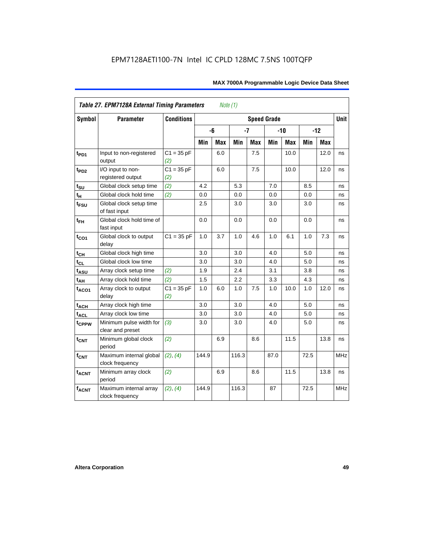| <b>Table 27. EPM7128A External Timing Parameters</b><br>Note (1) |                                             |                     |       |            |       |            |                    |            |      |       |             |
|------------------------------------------------------------------|---------------------------------------------|---------------------|-------|------------|-------|------------|--------------------|------------|------|-------|-------------|
| <b>Symbol</b>                                                    | <b>Parameter</b>                            | <b>Conditions</b>   |       |            |       |            | <b>Speed Grade</b> |            |      |       | <b>Unit</b> |
|                                                                  |                                             |                     |       | -6         | $-7$  |            |                    | $-10$      |      | $-12$ |             |
|                                                                  |                                             |                     | Min   | <b>Max</b> | Min   | <b>Max</b> | Min                | <b>Max</b> | Min  | Max   |             |
| t <sub>PD1</sub>                                                 | Input to non-registered<br>output           | $C1 = 35 pF$<br>(2) |       | 6.0        |       | 7.5        |                    | 10.0       |      | 12.0  | ns          |
| t <sub>PD2</sub>                                                 | I/O input to non-<br>registered output      | $C1 = 35 pF$<br>(2) |       | 6.0        |       | 7.5        |                    | 10.0       |      | 12.0  | ns          |
| $t_{\text{SU}}$                                                  | Global clock setup time                     | (2)                 | 4.2   |            | 5.3   |            | 7.0                |            | 8.5  |       | ns          |
| $t_H$                                                            | Global clock hold time                      | (2)                 | 0.0   |            | 0.0   |            | 0.0                |            | 0.0  |       | ns          |
| t <sub>FSU</sub>                                                 | Global clock setup time<br>of fast input    |                     | 2.5   |            | 3.0   |            | 3.0                |            | 3.0  |       | ns          |
| $t_{FH}$                                                         | Global clock hold time of<br>fast input     |                     | 0.0   |            | 0.0   |            | 0.0                |            | 0.0  |       | ns          |
| $t_{CO1}$                                                        | Global clock to output<br>delay             | $C1 = 35 pF$        | 1.0   | 3.7        | 1.0   | 4.6        | 1.0                | 6.1        | 1.0  | 7.3   | ns          |
| $t_{CH}$                                                         | Global clock high time                      |                     | 3.0   |            | 3.0   |            | 4.0                |            | 5.0  |       | ns          |
| $t_{CL}$                                                         | Global clock low time                       |                     | 3.0   |            | 3.0   |            | 4.0                |            | 5.0  |       | ns          |
| t <sub>ASU</sub>                                                 | Array clock setup time                      | (2)                 | 1.9   |            | 2.4   |            | 3.1                |            | 3.8  |       | ns          |
| $t_{\underline{AH}}$                                             | Array clock hold time                       | (2)                 | 1.5   |            | 2.2   |            | 3.3                |            | 4.3  |       | ns          |
| t <sub>ACO1</sub>                                                | Array clock to output<br>delay              | $C1 = 35 pF$<br>(2) | 1.0   | 6.0        | 1.0   | 7.5        | 1.0                | 10.0       | 1.0  | 12.0  | ns          |
| $t_{ACH}$                                                        | Array clock high time                       |                     | 3.0   |            | 3.0   |            | 4.0                |            | 5.0  |       | ns          |
| t <sub>ACL</sub>                                                 | Array clock low time                        |                     | 3.0   |            | 3.0   |            | 4.0                |            | 5.0  |       | ns          |
| t <sub>CPPW</sub>                                                | Minimum pulse width for<br>clear and preset | (3)                 | 3.0   |            | 3.0   |            | 4.0                |            | 5.0  |       | ns          |
| $t_{\text{CNT}}$                                                 | Minimum global clock<br>period              | (2)                 |       | 6.9        |       | 8.6        |                    | 11.5       |      | 13.8  | ns          |
| $f_{\text{CNT}}$                                                 | Maximum internal global<br>clock frequency  | (2), (4)            | 144.9 |            | 116.3 |            | 87.0               |            | 72.5 |       | MHz         |
| <b>t<sub>ACNT</sub></b>                                          | Minimum array clock<br>period               | (2)                 |       | 6.9        |       | 8.6        |                    | 11.5       |      | 13.8  | ns          |
| <b>fACNT</b>                                                     | Maximum internal array<br>clock frequency   | (2), (4)            | 144.9 |            | 116.3 |            | 87                 |            | 72.5 |       | <b>MHz</b>  |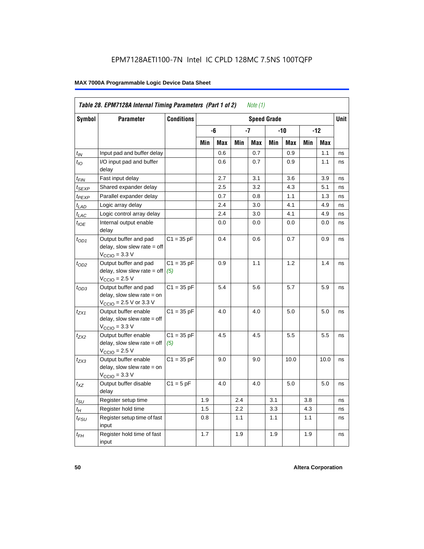|                             | Table 28. EPM7128A Internal Timing Parameters (Part 1 of 2)<br>Note (1)                                      |                     |     |                    |     |     |     |      |     |            |    |  |
|-----------------------------|--------------------------------------------------------------------------------------------------------------|---------------------|-----|--------------------|-----|-----|-----|------|-----|------------|----|--|
| Symbol                      | <b>Parameter</b>                                                                                             | <b>Conditions</b>   |     | <b>Speed Grade</b> |     |     |     |      |     |            |    |  |
|                             |                                                                                                              |                     |     | -6                 |     | -7  | -10 |      | -12 |            |    |  |
|                             |                                                                                                              |                     | Min | Max                | Min | Max | Min | Max  | Min | <b>Max</b> |    |  |
| $t_{IN}$                    | Input pad and buffer delay                                                                                   |                     |     | 0.6                |     | 0.7 |     | 0.9  |     | 1.1        | ns |  |
| $t_{IO}$                    | I/O input pad and buffer<br>delay                                                                            |                     |     | 0.6                |     | 0.7 |     | 0.9  |     | 1.1        | ns |  |
| t <sub>FIN</sub>            | Fast input delay                                                                                             |                     |     | 2.7                |     | 3.1 |     | 3.6  |     | 3.9        | ns |  |
| t <sub>SEXP</sub>           | Shared expander delay                                                                                        |                     |     | 2.5                |     | 3.2 |     | 4.3  |     | 5.1        | ns |  |
| t <sub>PEXP</sub>           | Parallel expander delay                                                                                      |                     |     | 0.7                |     | 0.8 |     | 1.1  |     | 1.3        | ns |  |
| $t_{LAD}$                   | Logic array delay                                                                                            |                     |     | 2.4                |     | 3.0 |     | 4.1  |     | 4.9        | ns |  |
| $t_{LAC}$                   | Logic control array delay                                                                                    |                     |     | 2.4                |     | 3.0 |     | 4.1  |     | 4.9        | ns |  |
| $t_{\mathit{IOE}}$          | Internal output enable<br>delay                                                                              |                     |     | 0.0                |     | 0.0 |     | 0.0  |     | 0.0        | ns |  |
| $t_{OD1}$                   | Output buffer and pad<br>delay, slow slew rate $=$ off<br>$VCCIO = 3.3 V$                                    | $C1 = 35 pF$        |     | 0.4                |     | 0.6 |     | 0.7  |     | 0.9        | ns |  |
| $t_{OD2}$                   | Output buffer and pad<br>delay, slow slew rate $=$ off<br>$VCCIO = 2.5 V$                                    | $C1 = 35 pF$<br>(5) |     | 0.9                |     | 1.1 |     | 1.2  |     | 1.4        | ns |  |
| $t_{OD3}$                   | Output buffer and pad<br>delay, slow slew rate $=$ on<br>$V_{\text{CCIO}} = 2.5 \text{ V or } 3.3 \text{ V}$ | $C1 = 35 pF$        |     | 5.4                |     | 5.6 |     | 5.7  |     | 5.9        | ns |  |
| t <sub>ZX1</sub>            | Output buffer enable<br>$delay$ , slow slew rate = off<br>$VCCIO = 3.3 V$                                    | $C1 = 35 pF$        |     | 4.0                |     | 4.0 |     | 5.0  |     | 5.0        | ns |  |
| $t_{ZX2}$                   | Output buffer enable<br>$delay$ , slow slew rate = off<br>$VCCIO = 2.5 V$                                    | $C1 = 35 pF$<br>(5) |     | 4.5                |     | 4.5 |     | 5.5  |     | 5.5        | ns |  |
| t <sub>ZX3</sub>            | Output buffer enable<br>delay, slow slew rate $=$ on<br>$VCCIO = 3.3 V$                                      | $C1 = 35 pF$        |     | 9.0                |     | 9.0 |     | 10.0 |     | 10.0       | ns |  |
| $t_{XZ}$                    | Output buffer disable<br>delay                                                                               | $C1 = 5$ pF         |     | 4.0                |     | 4.0 |     | 5.0  |     | 5.0        | ns |  |
| $t_{\scriptstyle\text{SU}}$ | Register setup time                                                                                          |                     | 1.9 |                    | 2.4 |     | 3.1 |      | 3.8 |            | ns |  |
| $t_{\mathcal{H}}$           | Register hold time                                                                                           |                     | 1.5 |                    | 2.2 |     | 3.3 |      | 4.3 |            | ns |  |
| t <sub>FSU</sub>            | Register setup time of fast<br>input                                                                         |                     | 0.8 |                    | 1.1 |     | 1.1 |      | 1.1 |            | ns |  |
| $t_{FH}$                    | Register hold time of fast<br>input                                                                          |                     | 1.7 |                    | 1.9 |     | 1.9 |      | 1.9 |            | ns |  |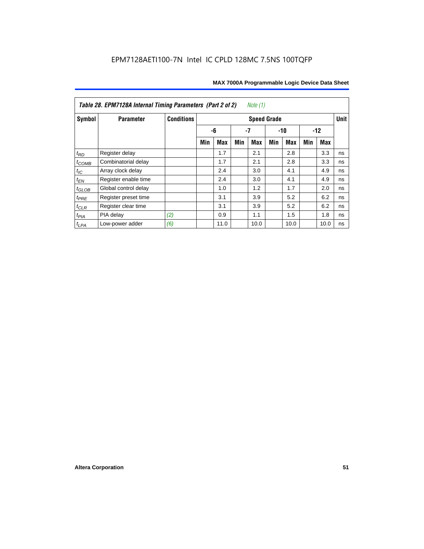| Table 28. EPM7128A Internal Timing Parameters (Part 2 of 2)<br>Note (1) |                      |                   |     |      |     |                    |       |            |     |       |             |
|-------------------------------------------------------------------------|----------------------|-------------------|-----|------|-----|--------------------|-------|------------|-----|-------|-------------|
| Symbol                                                                  | <b>Parameter</b>     | <b>Conditions</b> |     |      |     | <b>Speed Grade</b> |       |            |     |       | <b>Unit</b> |
|                                                                         |                      |                   |     | -6   | -7  |                    | $-10$ |            |     | $-12$ |             |
|                                                                         |                      |                   | Min | Max  | Min | <b>Max</b>         | Min   | <b>Max</b> | Min | Max   |             |
| $t_{RD}$                                                                | Register delay       |                   |     | 1.7  |     | 2.1                |       | 2.8        |     | 3.3   | ns          |
| $t_{COMB}$                                                              | Combinatorial delay  |                   |     | 1.7  |     | 2.1                |       | 2.8        |     | 3.3   | ns          |
| $t_{IC}$                                                                | Array clock delay    |                   |     | 2.4  |     | 3.0                |       | 4.1        |     | 4.9   | ns          |
| $t_{EN}$                                                                | Register enable time |                   |     | 2.4  |     | 3.0                |       | 4.1        |     | 4.9   | ns          |
| $t_{GLOB}$                                                              | Global control delay |                   |     | 1.0  |     | 1.2                |       | 1.7        |     | 2.0   | ns          |
| $t_{PRE}$                                                               | Register preset time |                   |     | 3.1  |     | 3.9                |       | 5.2        |     | 6.2   | ns          |
| $t_{\text{CLR}}$                                                        | Register clear time  |                   |     | 3.1  |     | 3.9                |       | 5.2        |     | 6.2   | ns          |
| $t_{PIA}$                                                               | PIA delay            | (2)               |     | 0.9  |     | 1.1                |       | 1.5        |     | 1.8   | ns          |
| $t_{LPA}$                                                               | Low-power adder      | (6)               |     | 11.0 |     | 10.0               |       | 10.0       |     | 10.0  | ns          |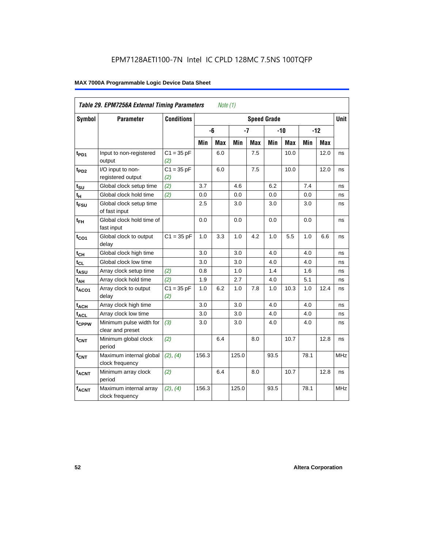| Table 29. EPM7256A External Timing Parameters<br>Note $(1)$ |                                             |                     |                    |            |       |            |      |       |       |      |             |
|-------------------------------------------------------------|---------------------------------------------|---------------------|--------------------|------------|-------|------------|------|-------|-------|------|-------------|
| Symbol                                                      | <b>Parameter</b>                            | <b>Conditions</b>   | <b>Speed Grade</b> |            |       |            |      |       |       |      | <b>Unit</b> |
|                                                             |                                             |                     |                    | -6         |       | $-7$       |      | $-10$ | $-12$ |      |             |
|                                                             |                                             |                     | Min                | <b>Max</b> | Min   | <b>Max</b> | Min  | Max   | Min   | Max  |             |
| t <sub>PD1</sub>                                            | Input to non-registered<br>output           | $C1 = 35 pF$<br>(2) |                    | 6.0        |       | 7.5        |      | 10.0  |       | 12.0 | ns          |
| $t_{PD2}$                                                   | I/O input to non-<br>registered output      | $C1 = 35 pF$<br>(2) |                    | 6.0        |       | 7.5        |      | 10.0  |       | 12.0 | ns          |
| $t_{\text{SU}}$                                             | Global clock setup time                     | (2)                 | 3.7                |            | 4.6   |            | 6.2  |       | 7.4   |      | ns          |
| $t_H$                                                       | Global clock hold time                      | (2)                 | 0.0                |            | 0.0   |            | 0.0  |       | 0.0   |      | ns          |
| t <sub>FSU</sub>                                            | Global clock setup time<br>of fast input    |                     | 2.5                |            | 3.0   |            | 3.0  |       | 3.0   |      | ns          |
| $t_{FH}$                                                    | Global clock hold time of<br>fast input     |                     | 0.0                |            | 0.0   |            | 0.0  |       | 0.0   |      | ns          |
| $t_{CO1}$                                                   | Global clock to output<br>delay             | $C1 = 35 pF$        | 1.0                | 3.3        | 1.0   | 4.2        | 1.0  | 5.5   | 1.0   | 6.6  | ns          |
| $t_{CH}$                                                    | Global clock high time                      |                     | 3.0                |            | 3.0   |            | 4.0  |       | 4.0   |      | ns          |
| $t_{CL}$                                                    | Global clock low time                       |                     | 3.0                |            | 3.0   |            | 4.0  |       | 4.0   |      | ns          |
| t <sub>ASU</sub>                                            | Array clock setup time                      | (2)                 | 0.8                |            | 1.0   |            | 1.4  |       | 1.6   |      | ns          |
| t <sub>АН</sub>                                             | Array clock hold time                       | (2)                 | 1.9                |            | 2.7   |            | 4.0  |       | 5.1   |      | ns          |
| t <sub>ACO1</sub>                                           | Array clock to output<br>delay              | $C1 = 35 pF$<br>(2) | 1.0                | 6.2        | 1.0   | 7.8        | 1.0  | 10.3  | 1.0   | 12.4 | ns          |
| t <sub>ACH</sub>                                            | Array clock high time                       |                     | 3.0                |            | 3.0   |            | 4.0  |       | 4.0   |      | ns          |
| $t_{\text{ACL}}$                                            | Array clock low time                        |                     | 3.0                |            | 3.0   |            | 4.0  |       | 4.0   |      | ns          |
| t <sub>CPPW</sub>                                           | Minimum pulse width for<br>clear and preset | (3)                 | 3.0                |            | 3.0   |            | 4.0  |       | 4.0   |      | ns          |
| $t_{\text{CNT}}$                                            | Minimum global clock<br>period              | (2)                 |                    | 6.4        |       | 8.0        |      | 10.7  |       | 12.8 | ns          |
| $f_{CNT}$                                                   | Maximum internal global<br>clock frequency  | (2), (4)            | 156.3              |            | 125.0 |            | 93.5 |       | 78.1  |      | <b>MHz</b>  |
| $t_{ACNT}$                                                  | Minimum array clock<br>period               | (2)                 |                    | 6.4        |       | 8.0        |      | 10.7  |       | 12.8 | ns          |
| <b>fACNT</b>                                                | Maximum internal array<br>clock frequency   | (2), (4)            | 156.3              |            | 125.0 |            | 93.5 |       | 78.1  |      | <b>MHz</b>  |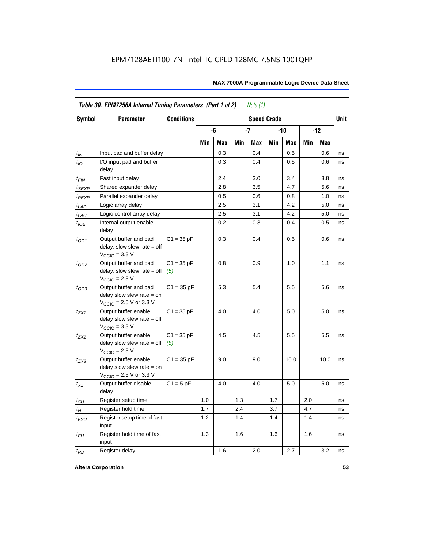| <b>Symbol</b>               | <b>Parameter</b>                                                                             | <b>Conditions</b>   |     | <b>Speed Grade</b> |     |     |       |      |       |            |    |
|-----------------------------|----------------------------------------------------------------------------------------------|---------------------|-----|--------------------|-----|-----|-------|------|-------|------------|----|
|                             |                                                                                              |                     |     | -6                 |     | -7  | $-10$ |      | $-12$ |            |    |
|                             |                                                                                              |                     | Min | Max                | Min | Max | Min   | Max  | Min   | <b>Max</b> |    |
| $t_{IN}$                    | Input pad and buffer delay                                                                   |                     |     | 0.3                |     | 0.4 |       | 0.5  |       | 0.6        | ns |
| $t_{IO}$                    | I/O input pad and buffer<br>delay                                                            |                     |     | 0.3                |     | 0.4 |       | 0.5  |       | 0.6        | ns |
| t <sub>FIN</sub>            | Fast input delay                                                                             |                     |     | 2.4                |     | 3.0 |       | 3.4  |       | 3.8        | ns |
| t <sub>SEXP</sub>           | Shared expander delay                                                                        |                     |     | 2.8                |     | 3.5 |       | 4.7  |       | 5.6        | ns |
| t <sub>PEXP</sub>           | Parallel expander delay                                                                      |                     |     | 0.5                |     | 0.6 |       | 0.8  |       | 1.0        | ns |
| $t_{LAD}$                   | Logic array delay                                                                            |                     |     | 2.5                |     | 3.1 |       | 4.2  |       | 5.0        | ns |
| $t_{LAC}$                   | Logic control array delay                                                                    |                     |     | 2.5                |     | 3.1 |       | 4.2  |       | 5.0        | ns |
| $t_{IOE}$                   | Internal output enable<br>delay                                                              |                     |     | 0.2                |     | 0.3 |       | 0.4  |       | 0.5        | ns |
| $t_{OD1}$                   | Output buffer and pad<br>$delay$ , slow slew rate = off<br>$V_{\text{CCIO}} = 3.3 \text{ V}$ | $C1 = 35 pF$        |     | 0.3                |     | 0.4 |       | 0.5  |       | 0.6        | ns |
| $t_{OD2}$                   | Output buffer and pad<br>$delay$ , slow slew rate = off<br>$V_{\text{CCIO}} = 2.5 V$         | $C1 = 35 pF$<br>(5) |     | 0.8                |     | 0.9 |       | 1.0  |       | 1.1        | ns |
| $t_{OD3}$                   | Output buffer and pad<br>delay slow slew rate $=$ on<br>$V_{\text{CCIO}}$ = 2.5 V or 3.3 V   | $C1 = 35 pF$        |     | 5.3                |     | 5.4 |       | 5.5  |       | 5.6        | ns |
| $t_{ZX1}$                   | Output buffer enable<br>delay slow slew rate $=$ off<br>$VCCIO = 3.3 V$                      | $C1 = 35 pF$        |     | 4.0                |     | 4.0 |       | 5.0  |       | 5.0        | ns |
| $t_{ZX2}$                   | Output buffer enable<br>delay slow slew rate $=$ off<br>$VCCIO = 2.5 V$                      | $C1 = 35 pF$<br>(5) |     | 4.5                |     | 4.5 |       | 5.5  |       | 5.5        | ns |
| $t_{ZX3}$                   | Output buffer enable<br>delay slow slew rate $=$ on<br>$V_{\text{CCIO}}$ = 2.5 V or 3.3 V    | $C1 = 35 pF$        |     | 9.0                |     | 9.0 |       | 10.0 |       | 10.0       | ns |
| $t_{XZ}$                    | Output buffer disable<br>delay                                                               | $C1 = 5pF$          |     | 4.0                |     | 4.0 |       | 5.0  |       | 5.0        | ns |
| $t_{\scriptstyle\text{SU}}$ | Register setup time                                                                          |                     | 1.0 |                    | 1.3 |     | 1.7   |      | 2.0   |            | ns |
| $t_{H}$                     | Register hold time                                                                           |                     | 1.7 |                    | 2.4 |     | 3.7   |      | 4.7   |            | ns |
| $t_{FSU}$                   | Register setup time of fast<br>input                                                         |                     | 1.2 |                    | 1.4 |     | 1.4   |      | 1.4   |            | ns |
| $t_{FH}$                    | Register hold time of fast<br>input                                                          |                     | 1.3 |                    | 1.6 |     | 1.6   |      | 1.6   |            | ns |
| $t_{RD}$                    | Register delay                                                                               |                     |     | 1.6                |     | 2.0 |       | 2.7  |       | 3.2        | ns |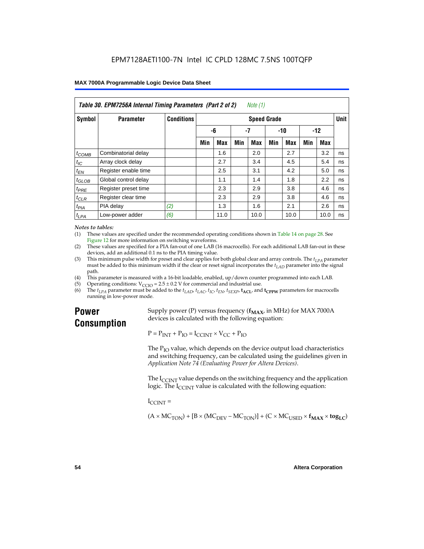| Table 30. EPM7256A Internal Timing Parameters (Part 2 of 2)<br>Note (1) |                      |                   |     |            |     |                    |       |            |       |      |             |
|-------------------------------------------------------------------------|----------------------|-------------------|-----|------------|-----|--------------------|-------|------------|-------|------|-------------|
| <b>Symbol</b>                                                           | <b>Parameter</b>     | <b>Conditions</b> |     |            |     | <b>Speed Grade</b> |       |            |       |      | <b>Unit</b> |
|                                                                         |                      |                   | -6  |            | -7  |                    | $-10$ |            | $-12$ |      |             |
|                                                                         |                      |                   | Min | <b>Max</b> | Min | Max                | Min   | <b>Max</b> | Min   | Max  |             |
| $t_{COMB}$                                                              | Combinatorial delay  |                   |     | 1.6        |     | 2.0                |       | 2.7        |       | 3.2  | ns          |
| $t_{IC}$                                                                | Array clock delay    |                   |     | 2.7        |     | 3.4                |       | 4.5        |       | 5.4  | ns          |
| $t_{EN}$                                                                | Register enable time |                   |     | 2.5        |     | 3.1                |       | 4.2        |       | 5.0  | ns          |
| $t_{GLOB}$                                                              | Global control delay |                   |     | 1.1        |     | 1.4                |       | 1.8        |       | 2.2  | ns          |
| $t_{PRE}$                                                               | Register preset time |                   |     | 2.3        |     | 2.9                |       | 3.8        |       | 4.6  | ns          |
| $t_{CLR}$                                                               | Register clear time  |                   |     | 2.3        |     | 2.9                |       | 3.8        |       | 4.6  | ns          |
| t <sub>PIA</sub>                                                        | PIA delay            | (2)               |     | 1.3        |     | 1.6                |       | 2.1        |       | 2.6  | ns          |
| $t_{LPA}$                                                               | Low-power adder      | (6)               |     | 11.0       |     | 10.0               |       | 10.0       |       | 10.0 | ns          |

#### *Notes to tables:*

(1) These values are specified under the recommended operating conditions shown in Table 14 on page 28. See Figure 12 for more information on switching waveforms.

- (2) These values are specified for a PIA fan-out of one LAB (16 macrocells). For each additional LAB fan-out in these devices, add an additional 0.1 ns to the PIA timing value.
- (3) This minimum pulse width for preset and clear applies for both global clear and array controls. The  $t_{LPA}$  parameter must be added to this minimum width if the clear or reset signal incorporates the  $t_{LAD}$  parameter into the signal path.
- (4) This parameter is measured with a 16-bit loadable, enabled, up/down counter programmed into each LAB.
- (5) Operating conditions:  $V_{\text{CCIO}} = 2.5 \pm 0.2 \text{ V}$  for commercial and industrial use.<br>(6) The  $t_{I/A}$  parameter must be added to the  $t_{I AD}$ ,  $t_{I AC}$ ,  $t_{I C}$ ,  $t_{F N}$ ,  $t_{S F Y P}$ ,  $t_{A C I}$ , and
- The  $t_{LPA}$  parameter must be added to the  $t_{LAD}$ ,  $t_{LAC}$ ,  $t_{IC}$ ,  $t_{EN}$ ,  $t_{SEXP}$ ,  $t_{ACL}$  and  $t_{CPPW}$  parameters for macrocells running in low-power mode.

# **Power Consumption**

Supply power (P) versus frequency  $(f_{MAX}$ , in MHz) for MAX 7000A devices is calculated with the following equation:

 $P = P_{INT} + P_{IO} = I_{CCINT} \times V_{CC} + P_{IO}$ 

The  $P_{IO}$  value, which depends on the device output load characteristics and switching frequency, can be calculated using the guidelines given in *Application Note 74 (Evaluating Power for Altera Devices)*.

The  $I_{\text{CUNT}}$  value depends on the switching frequency and the application logic. The  $I_{\text{CCINT}}$  value is calculated with the following equation:

 $I_{\text{CCMT}} =$ 

 $(A \times MC_{TON}) + [B \times (MC_{DEV} - MC_{TON})] + (C \times MC_{LISED} \times f_{MAX} \times tog_{LC})$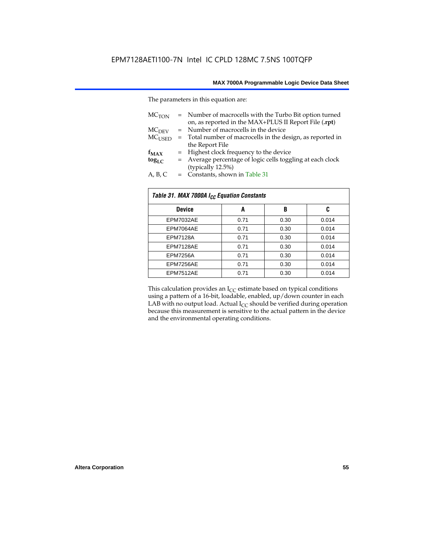The parameters in this equation are:

| MC <sub>TON</sub> | = Number of macrocells with the Turbo Bit option turned<br>on, as reported in the MAX+PLUS II Report File (.rpt) |
|-------------------|------------------------------------------------------------------------------------------------------------------|
| MC <sub>DFV</sub> | = Number of macrocells in the device                                                                             |
| $MC_{LISED}$      | = Total number of macrocells in the design, as reported in                                                       |
|                   | the Report File                                                                                                  |
| $f_{MAX}$         | = Highest clock frequency to the device                                                                          |
| $tog_{LC}$        | = Average percentage of logic cells toggling at each clock                                                       |
|                   | (typically 12.5%)                                                                                                |
| A, B, C           | = Constants, shown in Table 31                                                                                   |

| Table 31. MAX 7000A I <sub>CC</sub> Equation Constants |      |      |       |  |  |  |  |
|--------------------------------------------------------|------|------|-------|--|--|--|--|
| <b>Device</b>                                          | A    | B    | C     |  |  |  |  |
| EPM7032AE                                              | 0.71 | 0.30 | 0.014 |  |  |  |  |
| EPM7064AE                                              | 0.71 | 0.30 | 0.014 |  |  |  |  |
| <b>EPM7128A</b>                                        | 0.71 | 0.30 | 0.014 |  |  |  |  |
| EPM7128AE                                              | 0.71 | 0.30 | 0.014 |  |  |  |  |
| <b>EPM7256A</b>                                        | 0.71 | 0.30 | 0.014 |  |  |  |  |
| EPM7256AE                                              | 0.71 | 0.30 | 0.014 |  |  |  |  |
| EPM7512AE                                              | 0.71 | 0.30 | 0.014 |  |  |  |  |

This calculation provides an  $I_{CC}$  estimate based on typical conditions using a pattern of a 16-bit, loadable, enabled, up/down counter in each LAB with no output load. Actual  $I_{CC}$  should be verified during operation because this measurement is sensitive to the actual pattern in the device and the environmental operating conditions.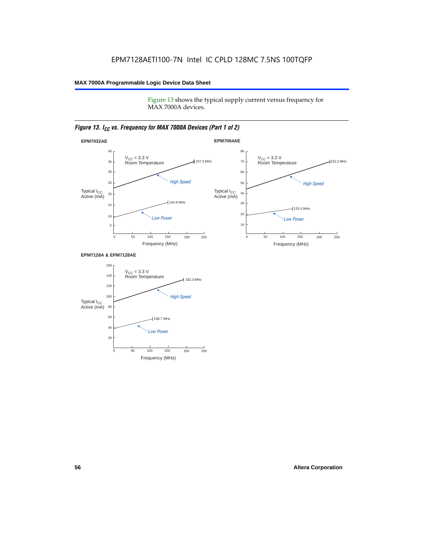Figure 13 shows the typical supply current versus frequency for MAX 7000A devices.

### *Figure 13. I<sub>CC</sub> vs. Frequency for MAX 7000A Devices (Part 1 of 2)*



#### **EPM7128A & EPM7128AE**

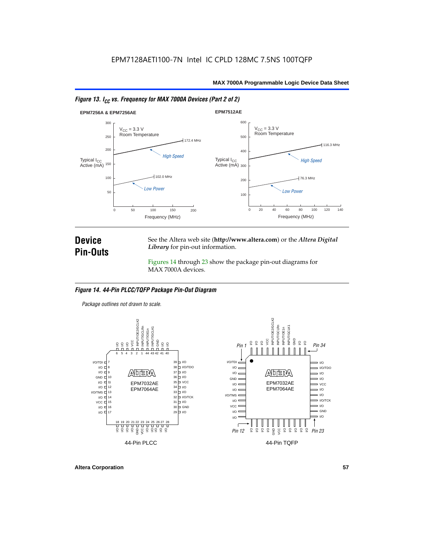



# **Device Pin-Outs**

See the Altera web site (**http://www.altera.com**) or the *Altera Digital Library* for pin-out information.

Figures 14 through 23 show the package pin-out diagrams for MAX 7000A devices.

#### *Figure 14. 44-Pin PLCC/TQFP Package Pin-Out Diagram*

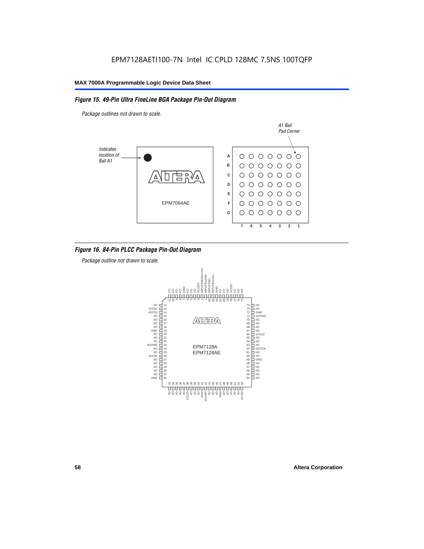#### *Figure 15. 49-Pin Ultra FineLine BGA Package Pin-Out Diagram*

*Package outlines not drawn to scale.*



#### *Figure 16. 84-Pin PLCC Package Pin-Out Diagram*

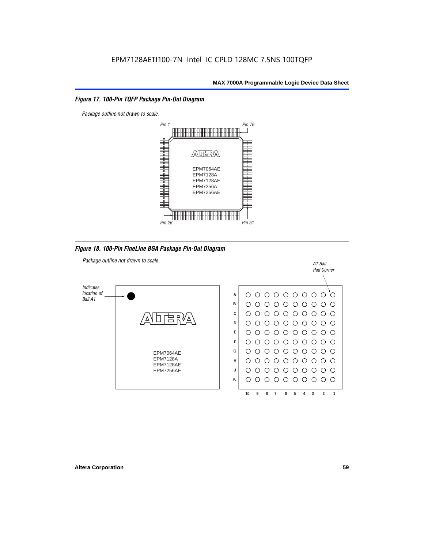#### *Figure 17. 100-Pin TQFP Package Pin-Out Diagram*



*Figure 18. 100-Pin FineLine BGA Package Pin-Out Diagram*

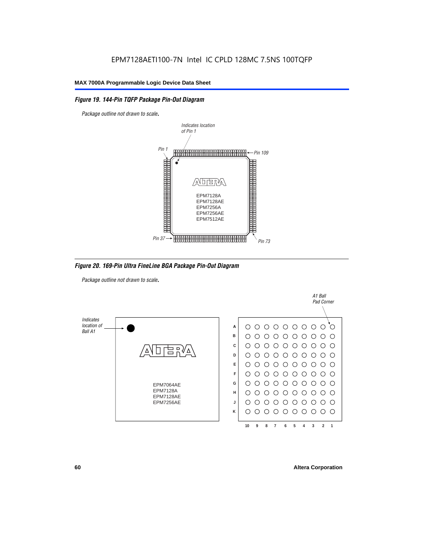### *Figure 19. 144-Pin TQFP Package Pin-Out Diagram*

*Package outline not drawn to scale*.



*Figure 20. 169-Pin Ultra FineLine BGA Package Pin-Out Diagram*

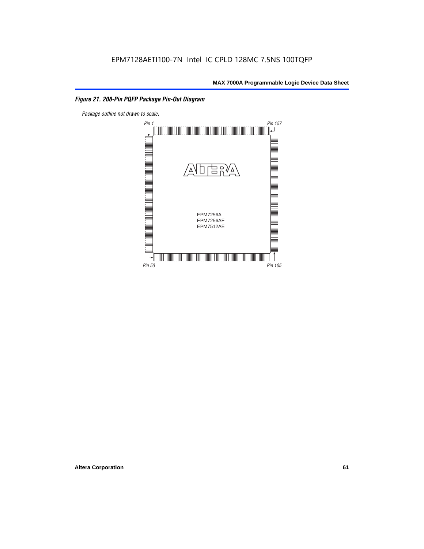# *Figure 21. 208-Pin PQFP Package Pin-Out Diagram*

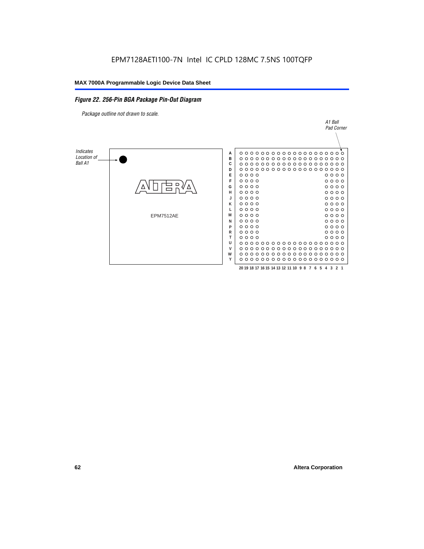#### *Figure 22. 256-Pin BGA Package Pin-Out Diagram*

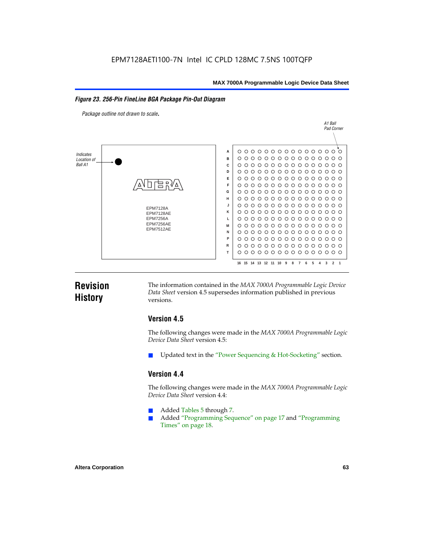#### *Figure 23. 256-Pin FineLine BGA Package Pin-Out Diagram*

*Package outline not drawn to scale*.



# **Revision History**

The information contained in the *MAX 7000A Programmable Logic Device Data Sheet* version 4.5 supersedes information published in previous versions.

# **Version 4.5**

The following changes were made in the *MAX 7000A Programmable Logic Device Data Sheet* version 4.5:

Updated text in the "Power Sequencing & Hot-Socketing" section.

# **Version 4.4**

The following changes were made in the *MAX 7000A Programmable Logic Device Data Sheet* version 4.4:

- Added Tables 5 through 7.
	- Added "Programming Sequence" on page 17 and "Programming Times" on page 18.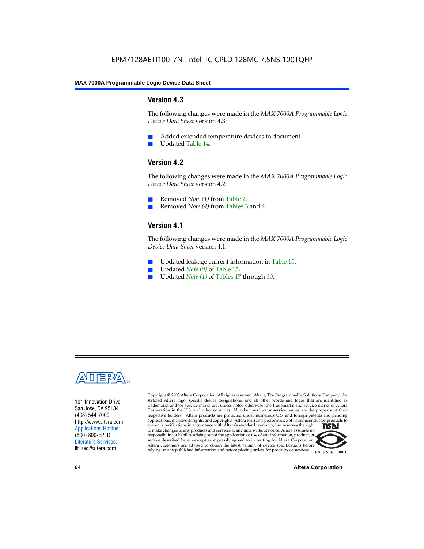### **Version 4.3**

The following changes were made in the *MAX 7000A Programmable Logic Device Data Sheet* version 4.3:

- Added extended temperature devices to document
- Updated Table 14.

# **Version 4.2**

The following changes were made in the *MAX 7000A Programmable Logic Device Data Sheet* version 4.2:

- Removed *Note (1)* from Table 2.
- Removed *Note (4)* from Tables 3 and 4.

# **Version 4.1**

The following changes were made in the *MAX 7000A Programmable Logic Device Data Sheet* version 4.1:

- Updated leakage current information in Table 15.
- Updated *Note (9)* of Table 15.
- Updated *Note* (1) of Tables 17 through 30.



101 Innovation Drive San Jose, CA 95134 (408) 544-7000 http://www.altera.com Applications Hotline: (800) 800-EPLD Literature Services: lit\_req@altera.com

Copyright © 2003 Altera Corporation. All rights reserved. Altera, The Programmable Solutions Company, the stylized Altera logo, specific device designations, and all other words and logos that are identified as trademarks and/or service marks are, unless noted otherwise, the trademarks and service marks of Altera Corporation in the U.S. and other countries. All other product or service names are the property of their respective holders. Altera products are protected under numerous U.S. and foreign patents and pending applications, maskwork rights, and copyrights. Altera warrants performance of its semiconductor products to current specifications in accordance with Altera's standard warranty, but reserves the right **TSAI** to make changes to any products and services at any time without notice. Altera assumes no responsibility or liability arising out of the application or use of any information, product, or service described herein except as expressly agreed to in writing by Altera Corporation. Altera customers are advised to obtain the latest version of device specifications before relying on any published information and before placing orders for products or services.



**64 Altera Corporation**